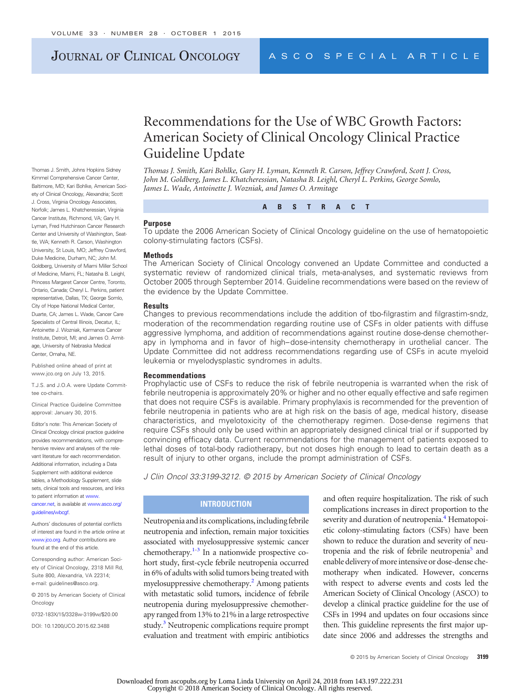# JOURNAL OF CLINICAL ONCOLOGY ASCO SPECIAL ARTICLE

Thomas J. Smith, Johns Hopkins Sidney Kimmel Comprehensive Cancer Center, Baltimore, MD; Kari Bohlke, American Society of Clinical Oncology, Alexandria; Scott J. Cross, Virginia Oncology Associates, Norfolk; James L. Khatcheressian, Virginia Cancer Institute, Richmond, VA; Gary H. Lyman, Fred Hutchinson Cancer Research Center and University of Washington, Seattle, WA; Kenneth R. Carson, Washington University, St Louis, MO; Jeffrey Crawford, Duke Medicine, Durham, NC; John M. Goldberg, University of Miami Miller School of Medicine, Miami, FL; Natasha B. Leighl, Princess Margaret Cancer Centre, Toronto, Ontario, Canada; Cheryl L. Perkins, patient representative, Dallas, TX; George Somlo, City of Hope National Medical Center, Duarte, CA; James L. Wade, Cancer Care Specialists of Central Illinois, Decatur, IL; Antoinette J. Wozniak, Karmanos Cancer Institute, Detroit, MI; and James O. Armitage, University of Nebraska Medical Center, Omaha, NE.

Published online ahead of print at www.jco.org on July 13, 2015.

T.J.S. and J.O.A. were Update Committee co-chairs.

Clinical Practice Guideline Committee approval: January 30, 2015.

Editor's note: This American Society of Clinical Oncology clinical practice guideline provides recommendations, with comprehensive review and analyses of the relevant literature for each recommendation. Additional information, including a Data Supplement with additional evidence tables, a Methodology Supplement, slide sets, clinical tools and resources, and links to patient information at [www.](http://www.cancer.net) [cancer.net,](http://www.cancer.net) is available at [www.asco.org/](http://www.asco.org/guidelines/wbcgf) [guidelines/wbcgf.](http://www.asco.org/guidelines/wbcgf)

Authors' disclosures of potential conflicts of interest are found in the article online at [www.jco.org.](http://www.jco.org) Author contributions are found at the end of this article.

Corresponding author: American Society of Clinical Oncology, 2318 Mill Rd, Suite 800, Alexandria, VA 22314; e-mail: [guidelines@asco.org.](mailto:guidelines@asco.org)

© 2015 by American Society of Clinical Oncology

0732-183X/15/3328w-3199w/\$20.00

DOI: [10.1200/JCO.2015.62.3488](http://dx.doi.org/10.1200/JCO.2015.62.3488)

# Recommendations for the Use of WBC Growth Factors: American Society of Clinical Oncology Clinical Practice Guideline Update

*Thomas J. Smith, Kari Bohlke, Gary H. Lyman, Kenneth R. Carson, Jeffrey Crawford, Scott J. Cross, John M. Goldberg, James L. Khatcheressian, Natasha B. Leighl, Cheryl L. Perkins, George Somlo, James L. Wade, Antoinette J. Wozniak, and James O. Armitage*

**ABSTRACT**

#### **Purpose**

To update the 2006 American Society of Clinical Oncology guideline on the use of hematopoietic colony-stimulating factors (CSFs).

#### **Methods**

The American Society of Clinical Oncology convened an Update Committee and conducted a systematic review of randomized clinical trials, meta-analyses, and systematic reviews from October 2005 through September 2014. Guideline recommendations were based on the review of the evidence by the Update Committee.

#### **Results**

Changes to previous recommendations include the addition of tbo-filgrastim and filgrastim-sndz, moderation of the recommendation regarding routine use of CSFs in older patients with diffuse aggressive lymphoma, and addition of recommendations against routine dose-dense chemotherapy in lymphoma and in favor of high–dose-intensity chemotherapy in urothelial cancer. The Update Committee did not address recommendations regarding use of CSFs in acute myeloid leukemia or myelodysplastic syndromes in adults.

#### **Recommendations**

Prophylactic use of CSFs to reduce the risk of febrile neutropenia is warranted when the risk of febrile neutropenia is approximately 20% or higher and no other equally effective and safe regimen that does not require CSFs is available. Primary prophylaxis is recommended for the prevention of febrile neutropenia in patients who are at high risk on the basis of age, medical history, disease characteristics, and myelotoxicity of the chemotherapy regimen. Dose-dense regimens that require CSFs should only be used within an appropriately designed clinical trial or if supported by convincing efficacy data. Current recommendations for the management of patients exposed to lethal doses of total-body radiotherapy, but not doses high enough to lead to certain death as a result of injury to other organs, include the prompt administration of CSFs.

*J Clin Oncol 33:3199-3212. © 2015 by American Society of Clinical Oncology*

# **INTRODUCTION**

Neutropenia and its complications, including febrile neutropenia and infection, remain major toxicities associated with myelosuppressive systemic cancer chemotherapy. $1-3$  $1-3$  In a nationwide prospective cohort study, first-cycle febrile neutropenia occurred in 6% of adults with solid tumors being treated with myelosuppressive chemotherapy.<sup>2</sup> Among patients with metastatic solid tumors, incidence of febrile neutropenia during myelosuppressive chemotherapy ranged from 13% to 21% in a large retrospective study.<sup>3</sup> Neutropenic complications require prompt evaluation and treatment with empiric antibiotics

and often require hospitalization. The risk of such complications increases in direct proportion to the severity and duration of neutropenia.<sup>4</sup> Hematopoietic colony-stimulating factors (CSFs) have been shown to reduce the duration and severity of neutropenia and the risk of febrile neutropenia<sup>5</sup> and enable delivery of more intensive or dose-dense chemotherapy when indicated. However, concerns with respect to adverse events and costs led the American Society of Clinical Oncology (ASCO) to develop a clinical practice guideline for the use of CSFs in 1994 and updates on four occasions since then. This guideline represents the first major update since 2006 and addresses the strengths and

© 2015 by American Society of Clinical Oncology **3199**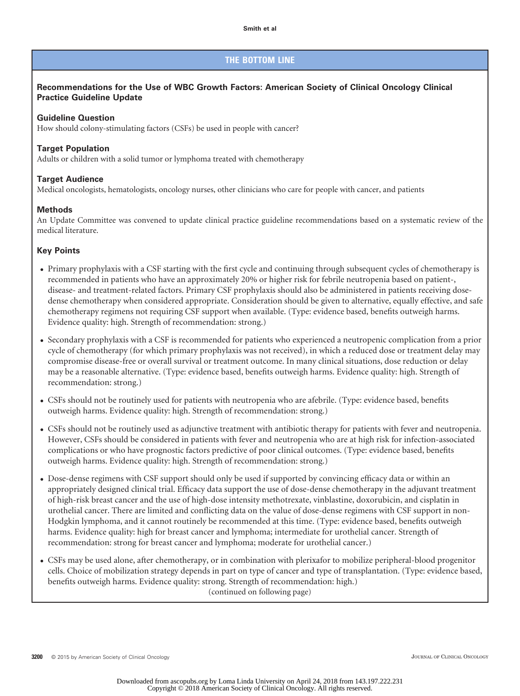# **THE BOTTOM LINE**

# **Recommendations for the Use of WBC Growth Factors: American Society of Clinical Oncology Clinical Practice Guideline Update**

# **Guideline Question**

How should colony-stimulating factors (CSFs) be used in people with cancer?

# **Target Population**

Adults or children with a solid tumor or lymphoma treated with chemotherapy

# **Target Audience**

Medical oncologists, hematologists, oncology nurses, other clinicians who care for people with cancer, and patients

# **Methods**

An Update Committee was convened to update clinical practice guideline recommendations based on a systematic review of the medical literature.

# **Key Points**

- Primary prophylaxis with a CSF starting with the first cycle and continuing through subsequent cycles of chemotherapy is recommended in patients who have an approximately 20% or higher risk for febrile neutropenia based on patient-, disease- and treatment-related factors. Primary CSF prophylaxis should also be administered in patients receiving dosedense chemotherapy when considered appropriate. Consideration should be given to alternative, equally effective, and safe chemotherapy regimens not requiring CSF support when available. (Type: evidence based, benefits outweigh harms. Evidence quality: high. Strength of recommendation: strong.)
- Secondary prophylaxis with a CSF is recommended for patients who experienced a neutropenic complication from a prior cycle of chemotherapy (for which primary prophylaxis was not received), in which a reduced dose or treatment delay may compromise disease-free or overall survival or treatment outcome. In many clinical situations, dose reduction or delay may be a reasonable alternative. (Type: evidence based, benefits outweigh harms. Evidence quality: high. Strength of recommendation: strong.)
- CSFs should not be routinely used for patients with neutropenia who are afebrile. (Type: evidence based, benefits outweigh harms. Evidence quality: high. Strength of recommendation: strong.)
- CSFs should not be routinely used as adjunctive treatment with antibiotic therapy for patients with fever and neutropenia. However, CSFs should be considered in patients with fever and neutropenia who are at high risk for infection-associated complications or who have prognostic factors predictive of poor clinical outcomes. (Type: evidence based, benefits outweigh harms. Evidence quality: high. Strength of recommendation: strong.)
- Dose-dense regimens with CSF support should only be used if supported by convincing efficacy data or within an appropriately designed clinical trial. Efficacy data support the use of dose-dense chemotherapy in the adjuvant treatment of high-risk breast cancer and the use of high-dose intensity methotrexate, vinblastine, doxorubicin, and cisplatin in urothelial cancer. There are limited and conflicting data on the value of dose-dense regimens with CSF support in non-Hodgkin lymphoma, and it cannot routinely be recommended at this time. (Type: evidence based, benefits outweigh harms. Evidence quality: high for breast cancer and lymphoma; intermediate for urothelial cancer. Strength of recommendation: strong for breast cancer and lymphoma; moderate for urothelial cancer.)
- CSFs may be used alone, after chemotherapy, or in combination with plerixafor to mobilize peripheral-blood progenitor cells. Choice of mobilization strategy depends in part on type of cancer and type of transplantation. (Type: evidence based, benefits outweigh harms. Evidence quality: strong. Strength of recommendation: high.)

(continued on following page)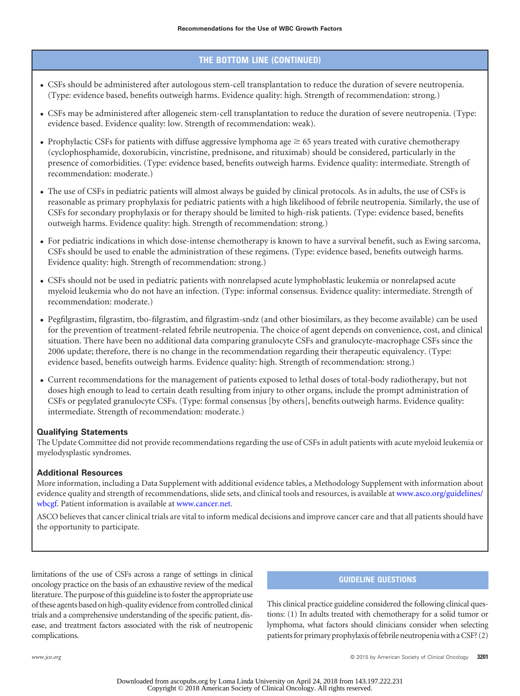# **THE BOTTOM LINE (CONTINUED)**

- CSFs should be administered after autologous stem-cell transplantation to reduce the duration of severe neutropenia. (Type: evidence based, benefits outweigh harms. Evidence quality: high. Strength of recommendation: strong.)
- CSFs may be administered after allogeneic stem-cell transplantation to reduce the duration of severe neutropenia. (Type: evidence based. Evidence quality: low. Strength of recommendation: weak).
- Prophylactic CSFs for patients with diffuse aggressive lymphoma age  $\geq 65$  years treated with curative chemotherapy (cyclophosphamide, doxorubicin, vincristine, prednisone, and rituximab) should be considered, particularly in the presence of comorbidities. (Type: evidence based, benefits outweigh harms. Evidence quality: intermediate. Strength of recommendation: moderate.)
- The use of CSFs in pediatric patients will almost always be guided by clinical protocols. As in adults, the use of CSFs is reasonable as primary prophylaxis for pediatric patients with a high likelihood of febrile neutropenia. Similarly, the use of CSFs for secondary prophylaxis or for therapy should be limited to high-risk patients. (Type: evidence based, benefits outweigh harms. Evidence quality: high. Strength of recommendation: strong.)
- For pediatric indications in which dose-intense chemotherapy is known to have a survival benefit, such as Ewing sarcoma, CSFs should be used to enable the administration of these regimens. (Type: evidence based, benefits outweigh harms. Evidence quality: high. Strength of recommendation: strong.)
- CSFs should not be used in pediatric patients with nonrelapsed acute lymphoblastic leukemia or nonrelapsed acute myeloid leukemia who do not have an infection. (Type: informal consensus. Evidence quality: intermediate. Strength of recommendation: moderate.)
- Pegfilgrastim, filgrastim, tbo-filgrastim, and filgrastim-sndz (and other biosimilars, as they become available) can be used for the prevention of treatment-related febrile neutropenia. The choice of agent depends on convenience, cost, and clinical situation. There have been no additional data comparing granulocyte CSFs and granulocyte-macrophage CSFs since the 2006 update; therefore, there is no change in the recommendation regarding their therapeutic equivalency. (Type: evidence based, benefits outweigh harms. Evidence quality: high. Strength of recommendation: strong.)
- Current recommendations for the management of patients exposed to lethal doses of total-body radiotherapy, but not doses high enough to lead to certain death resulting from injury to other organs, include the prompt administration of CSFs or pegylated granulocyte CSFs. (Type: formal consensus [by others], benefits outweigh harms. Evidence quality: intermediate. Strength of recommendation: moderate.)

### **Qualifying Statements**

The Update Committee did not provide recommendations regarding the use of CSFs in adult patients with acute myeloid leukemia or myelodysplastic syndromes.

### **Additional Resources**

More information, including a Data Supplement with additional evidence tables, a Methodology Supplement with information about evidence quality and strength of recommendations, slide sets, and clinical tools and resources, is available at [www.asco.org/guidelines/](http://www.asco.org/guidelines/wbcgf) [wbcgf.](http://www.asco.org/guidelines/wbcgf) Patient information is available at [www.cancer.net.](http://www.cancer.net)

ASCO believes that cancer clinical trials are vital to inform medical decisions and improve cancer care and that all patients should have the opportunity to participate.

limitations of the use of CSFs across a range of settings in clinical oncology practice on the basis of an exhaustive review of the medical literature. The purpose of this guideline is to foster the appropriate use of these agents based on high-quality evidence from controlled clinical trials and a comprehensive understanding of the specific patient, disease, and treatment factors associated with the risk of neutropenic complications.

### **GUIDELINE QUESTIONS**

This clinical practice guideline considered the following clinical questions: (1) In adults treated with chemotherapy for a solid tumor or lymphoma, what factors should clinicians consider when selecting patients for primary prophylaxis of febrile neutropenia with a CSF? (2)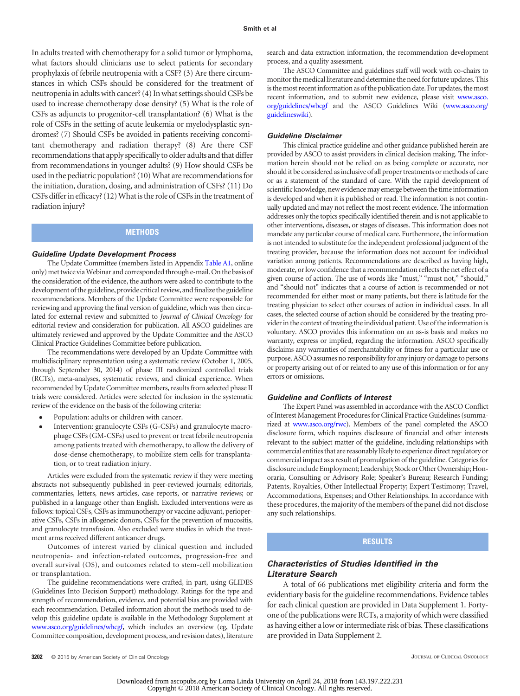In adults treated with chemotherapy for a solid tumor or lymphoma, what factors should clinicians use to select patients for secondary prophylaxis of febrile neutropenia with a CSF? (3) Are there circumstances in which CSFs should be considered for the treatment of neutropenia in adults with cancer? (4) In what settings should CSFs be used to increase chemotherapy dose density? (5) What is the role of CSFs as adjuncts to progenitor-cell transplantation? (6) What is the role of CSFs in the setting of acute leukemia or myelodysplastic syndromes? (7) Should CSFs be avoided in patients receiving concomitant chemotherapy and radiation therapy? (8) Are there CSF recommendations that apply specifically to older adults and that differ from recommendations in younger adults? (9) How should CSFs be used in the pediatric population? (10) What are recommendations for the initiation, duration, dosing, and administration of CSFs? (11) Do CSFs differ in efficacy? (12) What is the role of CSFs in the treatment of radiation injury?

### **METHODS**

#### *Guideline Update Development Process*

The Update Committee (members listed in Appendix [Table A1,](#page-15-0) online only) met twice via Webinar and corresponded through e-mail. On the basis of the consideration of the evidence, the authors were asked to contribute to the development of the guideline, provide critical review, and finalize the guideline recommendations. Members of the Update Committee were responsible for reviewing and approving the final version of guideline, which was then circulated for external review and submitted to *Journal of Clinical Oncology* for editorial review and consideration for publication. All ASCO guidelines are ultimately reviewed and approved by the Update Committee and the ASCO Clinical Practice Guidelines Committee before publication.

The recommendations were developed by an Update Committee with multidisciplinary representation using a systematic review (October 1, 2005, through September 30, 2014) of phase III randomized controlled trials (RCTs), meta-analyses, systematic reviews, and clinical experience. When recommended by Update Committee members, results from selected phase II trials were considered. Articles were selected for inclusion in the systematic review of the evidence on the basis of the following criteria:

- Population: adults or children with cancer.
- Intervention: granulocyte CSFs (G-CSFs) and granulocyte macrophage CSFs (GM-CSFs) used to prevent or treat febrile neutropenia among patients treated with chemotherapy, to allow the delivery of dose-dense chemotherapy, to mobilize stem cells for transplantation, or to treat radiation injury.

Articles were excluded from the systematic review if they were meeting abstracts not subsequently published in peer-reviewed journals; editorials, commentaries, letters, news articles, case reports, or narrative reviews; or published in a language other than English. Excluded interventions were as follows: topical CSFs, CSFs as immunotherapy or vaccine adjuvant, perioperative CSFs, CSFs in allogeneic donors, CSFs for the prevention of mucositis, and granulocyte transfusion. Also excluded were studies in which the treatment arms received different anticancer drugs.

Outcomes of interest varied by clinical question and included neutropenia- and infection-related outcomes, progression-free and overall survival (OS), and outcomes related to stem-cell mobilization or transplantation.

The guideline recommendations were crafted, in part, using GLIDES (Guidelines Into Decision Support) methodology. Ratings for the type and strength of recommendation, evidence, and potential bias are provided with each recommendation. Detailed information about the methods used to develop this guideline update is available in the Methodology Supplement at [www.asco.org/guidelines/wbcgf,](http://www.asco.org/guidelines/wbcgf) which includes an overview (eg, Update Committee composition, development process, and revision dates), literature

search and data extraction information, the recommendation development process, and a quality assessment.

The ASCO Committee and guidelines staff will work with co-chairs to monitor the medical literature and determine the need for future updates. This is the most recent information as of the publication date. For updates, the most recent information, and to submit new evidence, please visit [www.asco.](http://www.asco.org/guidelines/wbcgf) [org/guidelines/wbcgf](http://www.asco.org/guidelines/wbcgf) and the ASCO Guidelines Wiki [\(www.asco.org/](http://www.asco.org/guidelineswiki) [guidelineswiki\)](http://www.asco.org/guidelineswiki).

#### *Guideline Disclaimer*

This clinical practice guideline and other guidance published herein are provided by ASCO to assist providers in clinical decision making. The information herein should not be relied on as being complete or accurate, nor should it be considered as inclusive of all proper treatments or methods of care or as a statement of the standard of care. With the rapid development of scientific knowledge, new evidence may emerge between the time information is developed and when it is published or read. The information is not continually updated and may not reflect the most recent evidence. The information addresses only the topics specifically identified therein and is not applicable to other interventions, diseases, or stages of diseases. This information does not mandate any particular course of medical care. Furthermore, the information is not intended to substitute for the independent professional judgment of the treating provider, because the information does not account for individual variation among patients. Recommendations are described as having high, moderate, or low confidence that a recommendation reflects the net effect of a given course of action. The use of words like "must," "must not," "should," and "should not" indicates that a course of action is recommended or not recommended for either most or many patients, but there is latitude for the treating physician to select other courses of action in individual cases. In all cases, the selected course of action should be considered by the treating provider in the context of treating the individual patient. Use of the information is voluntary. ASCO provides this information on an as-is basis and makes no warranty, express or implied, regarding the information. ASCO specifically disclaims any warranties of merchantability or fitness for a particular use or purpose. ASCO assumes no responsibility for any injury or damage to persons or property arising out of or related to any use of this information or for any errors or omissions.

#### *Guideline and Conflicts of Interest*

The Expert Panel was assembled in accordance with the ASCO Conflict of Interest Management Procedures for Clinical Practice Guidelines (summarized at [www.asco.org/rwc\)](http://www.asco.org/rwc). Members of the panel completed the ASCO disclosure form, which requires disclosure of financial and other interests relevant to the subject matter of the guideline, including relationships with commercial entities that are reasonablylikely to experience direct regulatory or commercial impact as a result of promulgation of the guideline. Categories for disclosure include Employment; Leadership; Stock or Other Ownership; Honoraria, Consulting or Advisory Role; Speaker's Bureau; Research Funding; Patents, Royalties, Other Intellectual Property; Expert Testimony; Travel, Accommodations, Expenses; and Other Relationships. In accordance with these procedures, the majority of the members of the panel did not disclose any such relationships.

### **RESULTS**

### *Characteristics of Studies Identified in the Literature Search*

A total of 66 publications met eligibility criteria and form the evidentiary basis for the guideline recommendations. Evidence tables for each clinical question are provided in Data Supplement 1. Fortyone of the publications were RCTs, a majority of which were classified as having either a low or intermediate risk of bias. These classifications are provided in Data Supplement 2.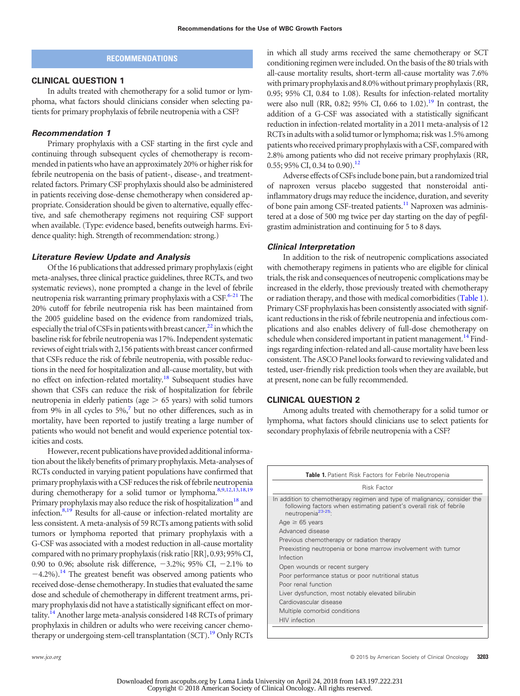# **RECOMMENDATIONS**

#### **CLINICAL QUESTION 1**

In adults treated with chemotherapy for a solid tumor or lymphoma, what factors should clinicians consider when selecting patients for primary prophylaxis of febrile neutropenia with a CSF?

#### *Recommendation 1*

Primary prophylaxis with a CSF starting in the first cycle and continuing through subsequent cycles of chemotherapy is recommended in patients who have an approximately 20% or higher risk for febrile neutropenia on the basis of patient-, disease-, and treatmentrelated factors. Primary CSF prophylaxis should also be administered in patients receiving dose-dense chemotherapy when considered appropriate. Consideration should be given to alternative, equally effective, and safe chemotherapy regimens not requiring CSF support when available. (Type: evidence based, benefits outweigh harms. Evidence quality: high. Strength of recommendation: strong.)

#### *Literature Review Update and Analysis*

Of the 16 publications that addressed primary prophylaxis (eight meta-analyses, three clinical practice guidelines, three RCTs, and two systematic reviews), none prompted a change in the level of febrile neutropenia risk warranting primary prophylaxis with a  $CSE$ <sup>5[-21](#page-12-0)</sup>. The 20% cutoff for febrile neutropenia risk has been maintained from the 2005 guideline based on the evidence from randomized trials, especially the trial of CSFs in patients with breast cancer,<sup>22</sup> in which the baseline risk for febrile neutropenia was 17%. Independent systematic reviews of eight trials with 2,156 patients with breast cancer confirmed that CSFs reduce the risk of febrile neutropenia, with possible reductions in the need for hospitalization and all-cause mortality, but with no effect on infection-related mortality[.18](#page-12-2) Subsequent studies have shown that CSFs can reduce the risk of hospitalization for febrile neutropenia in elderly patients (age  $> 65$  years) with solid tumors from 9% in all cycles to  $5\%$ , but no other differences, such as in mortality, have been reported to justify treating a large number of patients who would not benefit and would experience potential toxicities and costs.

However, recent publications have provided additional information about the likely benefits of primary prophylaxis. Meta-analyses of RCTs conducted in varying patient populations have confirmed that primary prophylaxis with a CSF reduces the risk of febrile neutropenia during chemotherapy for a solid tumor or lymphoma.<sup>8,[9,](#page-11-8)[12](#page-11-9)[,13](#page-11-10)[,18](#page-12-2)[,19](#page-12-3)</sup> Primary prophylaxis may also reduce the risk of hospitalization<sup>18</sup> and infection[.8,](#page-11-7)[19](#page-12-3) Results for all-cause or infection-related mortality are less consistent. A meta-analysis of 59 RCTs among patients with solid tumors or lymphoma reported that primary prophylaxis with a G-CSF was associated with a modest reduction in all-cause mortality compared with no primary prophylaxis (risk ratio [RR], 0.93; 95% CI, 0.90 to 0.96; absolute risk difference,  $-3.2\%$ ; 95% CI,  $-2.1\%$  to  $-4.2\%$ ).<sup>14</sup> The greatest benefit was observed among patients who received dose-dense chemotherapy. In studies that evaluated the same dose and schedule of chemotherapy in different treatment arms, primary prophylaxis did not have a statistically significant effect on mortality.<sup>14</sup> Another large meta-analysis considered 148 RCTs of primary prophylaxis in children or adults who were receiving cancer chemotherapy or undergoing stem-cell transplantation  $(SCT)$ .<sup>19</sup> Only RCTs

in which all study arms received the same chemotherapy or SCT conditioning regimen were included. On the basis of the 80 trials with all-cause mortality results, short-term all-cause mortality was 7.6% with primary prophylaxis and 8.0% without primary prophylaxis (RR, 0.95; 95% CI, 0.84 to 1.08). Results for infection-related mortality were also null (RR, 0.82; 95% CI, 0.66 to  $1.02$ ).<sup>19</sup> In contrast, the addition of a G-CSF was associated with a statistically significant reduction in infection-related mortality in a 2011 meta-analysis of 12 RCTs in adultswith a solid tumor or lymphoma; riskwas 1.5% among patients who received primary prophylaxis with a CSF, compared with 2.8% among patients who did not receive primary prophylaxis (RR, 0.55; 95% CI, 0.34 to 0.90).<sup>12</sup>

Adverse effects of CSFs include bone pain, but a randomized trial of naproxen versus placebo suggested that nonsteroidal antiinflammatory drugs may reduce the incidence, duration, and severity of bone pain among CSF-treated patients[.11](#page-11-12) Naproxen was administered at a dose of 500 mg twice per day starting on the day of pegfilgrastim administration and continuing for 5 to 8 days.

#### *Clinical Interpretation*

In addition to the risk of neutropenic complications associated with chemotherapy regimens in patients who are eligible for clinical trials, the risk and consequences of neutropenic complications may be increased in the elderly, those previously treated with chemotherapy or radiation therapy, and those with medical comorbidities [\(Table 1\)](#page-4-0). Primary CSF prophylaxis has been consistently associated with significant reductions in the risk of febrile neutropenia and infectious complications and also enables delivery of full-dose chemotherapy on schedule when considered important in patient management.<sup>14</sup> Findings regarding infection-related and all-cause mortality have been less consistent. The ASCO Panel looks forward to reviewing validated and tested, user-friendly risk prediction tools when they are available, but at present, none can be fully recommended.

#### **CLINICAL QUESTION 2**

Among adults treated with chemotherapy for a solid tumor or lymphoma, what factors should clinicians use to select patients for secondary prophylaxis of febrile neutropenia with a CSF?

<span id="page-4-0"></span>

| <b>Table 1.</b> Patient Risk Factors for Febrile Neutropenia                                                                                                                    |  |  |  |
|---------------------------------------------------------------------------------------------------------------------------------------------------------------------------------|--|--|--|
| <b>Risk Factor</b>                                                                                                                                                              |  |  |  |
| In addition to chemotherapy regimen and type of malignancy, consider the<br>following factors when estimating patient's overall risk of febrile<br>neutropenia <sup>23-25</sup> |  |  |  |
| Age $\geq$ 65 years                                                                                                                                                             |  |  |  |
| Advanced disease                                                                                                                                                                |  |  |  |
| Previous chemotherapy or radiation therapy                                                                                                                                      |  |  |  |
| Preexisting neutropenia or bone marrow involvement with tumor                                                                                                                   |  |  |  |
| Infection                                                                                                                                                                       |  |  |  |
| Open wounds or recent surgery                                                                                                                                                   |  |  |  |
| Poor performance status or poor nutritional status                                                                                                                              |  |  |  |
| Poor renal function                                                                                                                                                             |  |  |  |
| Liver dysfunction, most notably elevated bilirubin                                                                                                                              |  |  |  |
| Cardiovascular disease                                                                                                                                                          |  |  |  |
| Multiple comorbid conditions                                                                                                                                                    |  |  |  |
| <b>HIV</b> infection                                                                                                                                                            |  |  |  |
|                                                                                                                                                                                 |  |  |  |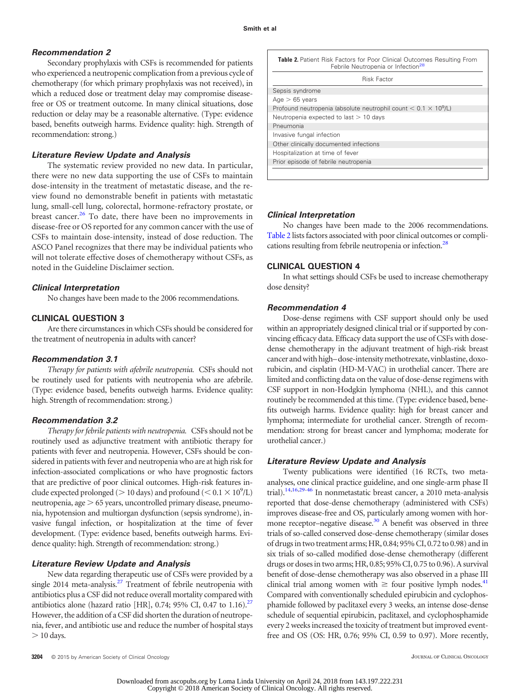#### *Recommendation 2*

Secondary prophylaxis with CSFs is recommended for patients who experienced a neutropenic complication from a previous cycle of chemotherapy (for which primary prophylaxis was not received), in which a reduced dose or treatment delay may compromise diseasefree or OS or treatment outcome. In many clinical situations, dose reduction or delay may be a reasonable alternative. (Type: evidence based, benefits outweigh harms. Evidence quality: high. Strength of recommendation: strong.)

#### *Literature Review Update and Analysis*

The systematic review provided no new data. In particular, there were no new data supporting the use of CSFs to maintain dose-intensity in the treatment of metastatic disease, and the review found no demonstrable benefit in patients with metastatic lung, small-cell lung, colorectal, hormone-refractory prostate, or breast cancer.<sup>[26](#page-12-6)</sup> To date, there have been no improvements in disease-free or OS reported for any common cancer with the use of CSFs to maintain dose-intensity, instead of dose reduction. The ASCO Panel recognizes that there may be individual patients who will not tolerate effective doses of chemotherapy without CSFs, as noted in the Guideline Disclaimer section.

#### *Clinical Interpretation*

No changes have been made to the 2006 recommendations.

### **CLINICAL QUESTION 3**

Are there circumstances in which CSFs should be considered for the treatment of neutropenia in adults with cancer?

#### *Recommendation 3.1*

*Therapy for patients with afebrile neutropenia.* CSFs should not be routinely used for patients with neutropenia who are afebrile. (Type: evidence based, benefits outweigh harms. Evidence quality: high. Strength of recommendation: strong.)

#### *Recommendation 3.2*

*Therapy for febrile patients with neutropenia.* CSFs should not be routinely used as adjunctive treatment with antibiotic therapy for patients with fever and neutropenia. However, CSFs should be considered in patients with fever and neutropenia who are at high risk for infection-associated complications or who have prognostic factors that are predictive of poor clinical outcomes. High-risk features include expected prolonged ( $> 10$  days) and profound ( $< 0.1 \times 10^9$ /L) neutropenia, age > 65 years, uncontrolled primary disease, pneumonia, hypotension and multiorgan dysfunction (sepsis syndrome), invasive fungal infection, or hospitalization at the time of fever development. (Type: evidence based, benefits outweigh harms. Evidence quality: high. Strength of recommendation: strong.)

#### *Literature Review Update and Analysis*

New data regarding therapeutic use of CSFs were provided by a single 2014 meta-analysis[.27](#page-12-7) Treatment of febrile neutropenia with antibiotics plus a CSF did not reduce overall mortality compared with antibiotics alone (hazard ratio [HR], 0.74; 95% CI, 0.47 to 1.16).<sup>27</sup> However, the addition of a CSF did shorten the duration of neutropenia, fever, and antibiotic use and reduce the number of hospital stays  $> 10$  days.

<span id="page-5-0"></span>

| <b>Table 2.</b> Patient Risk Factors for Poor Clinical Outcomes Resulting From |  |  |  |  |  |
|--------------------------------------------------------------------------------|--|--|--|--|--|
| Febrile Neutropenia or Infection <sup>28</sup>                                 |  |  |  |  |  |

| <b>Risk Factor</b>                                                      |
|-------------------------------------------------------------------------|
| Sepsis syndrome                                                         |
| $Age > 65$ years                                                        |
| Profound neutropenia (absolute neutrophil count $< 0.1 \times 10^9$ /L) |
| Neutropenia expected to last $> 10$ days                                |
| Pneumonia                                                               |
| Invasive fungal infection                                               |
| Other clinically documented infections                                  |
| Hospitalization at time of fever                                        |
| Prior episode of febrile neutropenia                                    |
|                                                                         |

#### *Clinical Interpretation*

No changes have been made to the 2006 recommendations. [Table 2](#page-5-0) lists factors associated with poor clinical outcomes or complications resulting from febrile neutropenia or infection.<sup>28</sup>

#### **CLINICAL QUESTION 4**

In what settings should CSFs be used to increase chemotherapy dose density?

#### *Recommendation 4*

Dose-dense regimens with CSF support should only be used within an appropriately designed clinical trial or if supported by convincing efficacy data. Efficacy data support the use of CSFs with dosedense chemotherapy in the adjuvant treatment of high-risk breast cancer andwith high–dose-intensitymethotrexate, vinblastine, doxorubicin, and cisplatin (HD-M-VAC) in urothelial cancer. There are limited and conflicting data on the value of dose-dense regimens with CSF support in non-Hodgkin lymphoma (NHL), and this cannot routinely be recommended at this time. (Type: evidence based, benefits outweigh harms. Evidence quality: high for breast cancer and lymphoma; intermediate for urothelial cancer. Strength of recommendation: strong for breast cancer and lymphoma; moderate for urothelial cancer.)

#### *Literature Review Update and Analysis*

Twenty publications were identified (16 RCTs, two metaanalyses, one clinical practice guideline, and one single-arm phase II trial)[.14](#page-11-11)[,16](#page-11-13)[,29](#page-12-9)[-46](#page-12-10) In nonmetastatic breast cancer, a 2010 meta-analysis reported that dose-dense chemotherapy (administered with CSFs) improves disease-free and OS, particularly among women with hormone receptor–negative disease.<sup>30</sup> A benefit was observed in three trials of so-called conserved dose-dense chemotherapy (similar doses of drugs in two treatment arms; HR, 0.84; 95% CI, 0.72 to 0.98) and in six trials of so-called modified dose-dense chemotherapy (different drugs or doses in two arms; HR, 0.85; 95% CI, 0.75 to 0.96). A survival benefit of dose-dense chemotherapy was also observed in a phase III clinical trial among women with  $\geq$  four positive lymph nodes.<sup>41</sup> Compared with conventionally scheduled epirubicin and cyclophosphamide followed by paclitaxel every 3 weeks, an intense dose-dense schedule of sequential epirubicin, paclitaxel, and cyclophosphamide every 2 weeks increased the toxicity of treatment but improved eventfree and OS (OS: HR, 0.76; 95% CI, 0.59 to 0.97). More recently,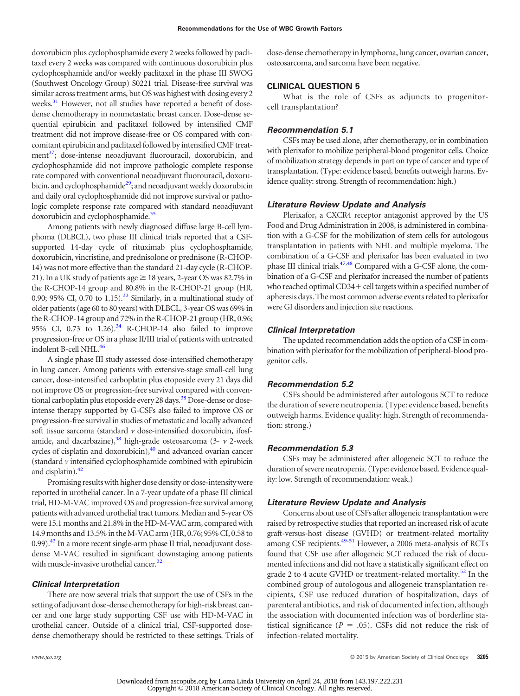doxorubicin plus cyclophosphamide every 2 weeks followed by paclitaxel every 2 weeks was compared with continuous doxorubicin plus cyclophosphamide and/or weekly paclitaxel in the phase III SWOG (Southwest Oncology Group) S0221 trial. Disease-free survival was similar across treatment arms, but OS was highest with dosing every 2 weeks.<sup>31</sup> However, not all studies have reported a benefit of dosedense chemotherapy in nonmetastatic breast cancer. Dose-dense sequential epirubicin and paclitaxel followed by intensified CMF treatment did not improve disease-free or OS compared with concomitant epirubicin and paclitaxel followed by intensified CMF treatment<sup>37</sup>; dose-intense neoadjuvant fluorouracil, doxorubicin, and cyclophosphamide did not improve pathologic complete response rate compared with conventional neoadjuvant fluorouracil, doxorubicin, and cyclophosphamide<sup>29</sup>; and neoadjuvant weekly doxorubicin and daily oral cyclophosphamide did not improve survival or pathologic complete response rate compared with standard neoadjuvant doxorubicin and cyclophosphamide.<sup>35</sup>

Among patients with newly diagnosed diffuse large B-cell lymphoma (DLBCL), two phase III clinical trials reported that a CSFsupported 14-day cycle of rituximab plus cyclophosphamide, doxorubicin, vincristine, and prednisolone or prednisone (R-CHOP-14) was not more effective than the standard 21-day cycle (R-CHOP-21). In a UK study of patients age  $\geq 18$  years, 2-year OS was 82.7% in the R-CHOP-14 group and 80.8% in the R-CHOP-21 group (HR, 0.90; 95% CI, 0.70 to 1.15).<sup>33</sup> Similarly, in a multinational study of older patients (age 60 to 80 years) with DLBCL, 3-year OS was 69% in the R-CHOP-14 group and 72% in the R-CHOP-21 group (HR, 0.96; 95% CI, 0.73 to  $1.26$ .<sup>34</sup> R-CHOP-14 also failed to improve progression-free or OS in a phase II/III trial of patients with untreated indolent B-cell NHL.<sup>46</sup>

A single phase III study assessed dose-intensified chemotherapy in lung cancer. Among patients with extensive-stage small-cell lung cancer, dose-intensified carboplatin plus etoposide every 21 days did not improve OS or progression-free survival compared with conventional carboplatin plus etoposide every 28 days.<sup>38</sup> Dose-dense or doseintense therapy supported by G-CSFs also failed to improve OS or progression-free survival in studies of metastatic and locally advanced soft tissue sarcoma (standard *v* dose-intensified doxorubicin, ifosfamide, and dacarbazine),<sup>38</sup> high-grade osteosarcoma (3-  $\nu$  2-week cycles of cisplatin and doxorubicin), $40$  and advanced ovarian cancer (standard *v* intensified cyclophosphamide combined with epirubicin and cisplatin). $42$ 

Promising results with higher dose density or dose-intensity were reported in urothelial cancer. In a 7-year update of a phase III clinical trial, HD-M-VAC improved OS and progression-free survival among patients with advanced urothelial tract tumors. Median and 5-year OS were 15.1 months and 21.8% in the HD-M-VAC arm, compared with 14.9months and 13.5% in theM-VAC arm (HR, 0.76; 95% CI, 0.58 to 0.99).<sup>43</sup> In a more recent single-arm phase II trial, neoadjuvant dosedense M-VAC resulted in significant downstaging among patients with muscle-invasive urothelial cancer.<sup>32</sup>

#### *Clinical Interpretation*

There are now several trials that support the use of CSFs in the setting of adjuvant dose-dense chemotherapy for high-risk breast cancer and one large study supporting CSF use with HD-M-VAC in urothelial cancer. Outside of a clinical trial, CSF-supported dosedense chemotherapy should be restricted to these settings. Trials of dose-dense chemotherapy in lymphoma, lung cancer, ovarian cancer, osteosarcoma, and sarcoma have been negative.

### **CLINICAL QUESTION 5**

What is the role of CSFs as adjuncts to progenitorcell transplantation?

#### *Recommendation 5.1*

CSFs may be used alone, after chemotherapy, or in combination with plerixafor to mobilize peripheral-blood progenitor cells. Choice of mobilization strategy depends in part on type of cancer and type of transplantation. (Type: evidence based, benefits outweigh harms. Evidence quality: strong. Strength of recommendation: high.)

#### *Literature Review Update and Analysis*

Plerixafor, a CXCR4 receptor antagonist approved by the US Food and Drug Administration in 2008, is administered in combination with a G-CSF for the mobilization of stem cells for autologous transplantation in patients with NHL and multiple myeloma. The combination of a G-CSF and plerixafor has been evaluated in two phase III clinical trials.<sup>47[,48](#page-12-24)</sup> Compared with a G-CSF alone, the combination of a G-CSF and plerixafor increased the number of patients who reached optimal  $CD34 +$  cell targets within a specified number of apheresis days. The most common adverse events related to plerixafor were GI disorders and injection site reactions.

#### *Clinical Interpretation*

The updated recommendation adds the option of a CSF in combination with plerixafor for the mobilization of peripheral-blood progenitor cells.

### *Recommendation 5.2*

CSFs should be administered after autologous SCT to reduce the duration of severe neutropenia. (Type: evidence based, benefits outweigh harms. Evidence quality: high. Strength of recommendation: strong.)

#### *Recommendation 5.3*

CSFs may be administered after allogeneic SCT to reduce the duration of severe neutropenia. (Type: evidence based. Evidence quality: low. Strength of recommendation: weak.)

#### *Literature Review Update and Analysis*

Concerns about use of CSFs after allogeneic transplantation were raised by retrospective studies that reported an increased risk of acute graft-versus-host disease (GVHD) or treatment-related mortality among CSF recipients.<sup>49-[51](#page-12-26)</sup> However, a 2006 meta-analysis of RCTs found that CSF use after allogeneic SCT reduced the risk of documented infections and did not have a statistically significant effect on grade 2 to 4 acute GVHD or treatment-related mortality.<sup>[52](#page-12-27)</sup> In the combined group of autologous and allogeneic transplantation recipients, CSF use reduced duration of hospitalization, days of parenteral antibiotics, and risk of documented infection, although the association with documented infection was of borderline statistical significance ( $P = .05$ ). CSFs did not reduce the risk of infection-related mortality.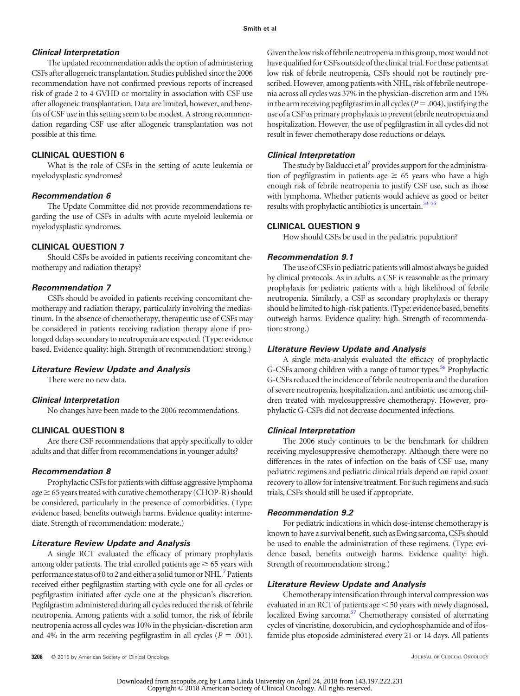### *Clinical Interpretation*

The updated recommendation adds the option of administering CSFs after allogeneic transplantation. Studies published since the 2006 recommendation have not confirmed previous reports of increased risk of grade 2 to 4 GVHD or mortality in association with CSF use after allogeneic transplantation. Data are limited, however, and benefits of CSF use in this setting seem to be modest. A strong recommendation regarding CSF use after allogeneic transplantation was not possible at this time.

### **CLINICAL QUESTION 6**

What is the role of CSFs in the setting of acute leukemia or myelodysplastic syndromes?

### *Recommendation 6*

The Update Committee did not provide recommendations regarding the use of CSFs in adults with acute myeloid leukemia or myelodysplastic syndromes.

### **CLINICAL QUESTION 7**

Should CSFs be avoided in patients receiving concomitant chemotherapy and radiation therapy?

### *Recommendation 7*

CSFs should be avoided in patients receiving concomitant chemotherapy and radiation therapy, particularly involving the mediastinum. In the absence of chemotherapy, therapeutic use of CSFs may be considered in patients receiving radiation therapy alone if prolonged delays secondary to neutropenia are expected. (Type: evidence based. Evidence quality: high. Strength of recommendation: strong.)

### *Literature Review Update and Analysis*

There were no new data.

### *Clinical Interpretation*

No changes have been made to the 2006 recommendations.

### **CLINICAL QUESTION 8**

Are there CSF recommendations that apply specifically to older adults and that differ from recommendations in younger adults?

### *Recommendation 8*

Prophylactic CSFs for patients with diffuse aggressive lymphoma  $age \geq 65$  years treated with curative chemotherapy (CHOP-R) should be considered, particularly in the presence of comorbidities. (Type: evidence based, benefits outweigh harms. Evidence quality: intermediate. Strength of recommendation: moderate.)

### *Literature Review Update and Analysis*

A single RCT evaluated the efficacy of primary prophylaxis among older patients. The trial enrolled patients age  $\geq 65$  years with performance status of 0 to 2 and either a solid tumor or NHL.<sup>7</sup> Patients received either pegfilgrastim starting with cycle one for all cycles or pegfilgrastim initiated after cycle one at the physician's discretion. Pegfilgrastim administered during all cycles reduced the risk of febrile neutropenia. Among patients with a solid tumor, the risk of febrile neutropenia across all cycles was 10% in the physician-discretion arm and 4% in the arm receiving pegfilgrastim in all cycles  $(P = .001)$ .

Given the low risk of febrile neutropenia in this group, most would not have qualified for CSFs outside of the clinical trial. For these patients at low risk of febrile neutropenia, CSFs should not be routinely prescribed. However, among patients with NHL, risk of febrile neutropenia across all cycles was 37% in the physician-discretion arm and 15% in the arm receiving pegfilgrastim in all cycles ( $P = .004$ ), justifying the use of a CSF as primary prophylaxis to prevent febrile neutropenia and hospitalization. However, the use of pegfilgrastim in all cycles did not result in fewer chemotherapy dose reductions or delays.

### *Clinical Interpretation*

The study by Balducci et al<sup>7</sup> provides support for the administration of pegfilgrastim in patients age  $\geq 65$  years who have a high enough risk of febrile neutropenia to justify CSF use, such as those with lymphoma. Whether patients would achieve as good or better results with prophylactic antibiotics is uncertain.<sup>53[-55](#page-12-29)</sup>

### **CLINICAL QUESTION 9**

How should CSFs be used in the pediatric population?

### *Recommendation 9.1*

The use of CSFs in pediatric patients will almost always be guided by clinical protocols. As in adults, a CSF is reasonable as the primary prophylaxis for pediatric patients with a high likelihood of febrile neutropenia. Similarly, a CSF as secondary prophylaxis or therapy should be limited to high-risk patients. (Type: evidence based, benefits outweigh harms. Evidence quality: high. Strength of recommendation: strong.)

### *Literature Review Update and Analysis*

A single meta-analysis evaluated the efficacy of prophylactic G-CSFs among children with a range of tumor types.<sup>56</sup> Prophylactic G-CSFs reduced the incidence offebrile neutropenia and the duration of severe neutropenia, hospitalization, and antibiotic use among children treated with myelosuppressive chemotherapy. However, prophylactic G-CSFs did not decrease documented infections.

### *Clinical Interpretation*

The 2006 study continues to be the benchmark for children receiving myelosuppressive chemotherapy. Although there were no differences in the rates of infection on the basis of CSF use, many pediatric regimens and pediatric clinical trials depend on rapid count recovery to allow for intensive treatment. For such regimens and such trials, CSFs should still be used if appropriate.

### *Recommendation 9.2*

For pediatric indications in which dose-intense chemotherapy is known to have a survival benefit, such as Ewing sarcoma, CSFs should be used to enable the administration of these regimens. (Type: evidence based, benefits outweigh harms. Evidence quality: high. Strength of recommendation: strong.)

### *Literature Review Update and Analysis*

Chemotherapy intensification through interval compression was evaluated in an RCT of patients age  $<$  50 years with newly diagnosed, localized Ewing sarcoma.<sup>57</sup> Chemotherapy consisted of alternating cycles of vincristine, doxorubicin, and cyclophosphamide and of ifosfamide plus etoposide administered every 21 or 14 days. All patients

Downloaded from ascopubs.org by Loma Linda University on April 24, 2018 from 143.197.222.231 Copyright © 2018 American Society of Clinical Oncology. All rights reserved.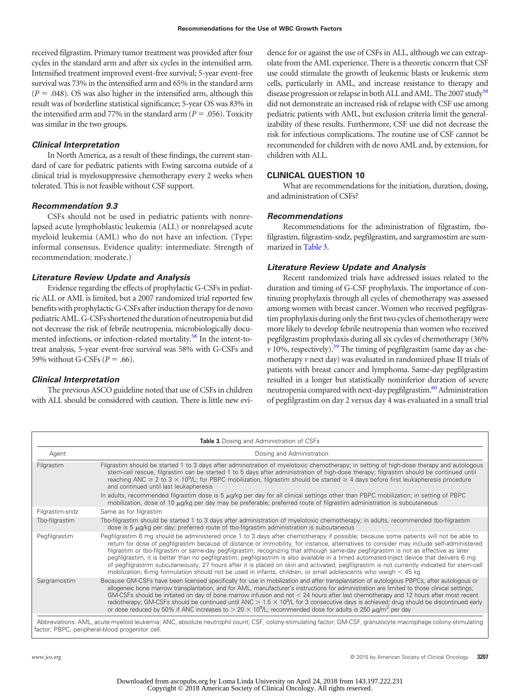received filgrastim. Primary tumor treatment was provided after four cycles in the standard arm and after six cycles in the intensified arm. Intensified treatment improved event-free survival; 5-year event-free survival was 73% in the intensified arm and 65% in the standard arm  $(P = .048)$ . OS was also higher in the intensified arm, although this result was of borderline statistical significance; 5-year OS was 83% in the intensified arm and 77% in the standard arm  $(P = .056)$ . Toxicity was similar in the two groups.

#### *Clinical Interpretation*

In North America, as a result of these findings, the current standard of care for pediatric patients with Ewing sarcoma outside of a clinical trial is myelosuppressive chemotherapy every 2 weeks when tolerated. This is not feasible without CSF support.

#### *Recommendation 9.3*

CSFs should not be used in pediatric patients with nonrelapsed acute lymphoblastic leukemia (ALL) or nonrelapsed acute myeloid leukemia (AML) who do not have an infection. (Type: informal consensus. Evidence quality: intermediate. Strength of recommendation: moderate.)

#### *Literature Review Update and Analysis*

Evidence regarding the effects of prophylactic G-CSFs in pediatric ALL or AML is limited, but a 2007 randomized trial reported few benefits with prophylactic G-CSFs after induction therapy for de novo pediatricAML. G-CSFs shortened the duration of neutropenia but did not decrease the risk of febrile neutropenia, microbiologically documented infections, or infection-related mortality.<sup>58</sup> In the intent-totreat analysis, 5-year event-free survival was 58% with G-CSFs and 59% without G-CSFs  $(P = .66)$ .

#### *Clinical Interpretation*

The previous ASCO guideline noted that use of CSFs in children with ALL should be considered with caution. There is little new evidence for or against the use of CSFs in ALL, although we can extrapolate from the AML experience. There is a theoretic concern that CSF use could stimulate the growth of leukemic blasts or leukemic stem cells, particularly in AML, and increase resistance to therapy and disease progression or relapse in both ALL and AML. The 2007 study<sup>58</sup> did not demonstrate an increased risk of relapse with CSF use among pediatric patients with AML, but exclusion criteria limit the generalizability of these results. Furthermore, CSF use did not decrease the risk for infectious complications. The routine use of CSF cannot be recommended for children with de novo AML and, by extension, for children with ALL.

### **CLINICAL QUESTION 10**

What are recommendations for the initiation, duration, dosing, and administration of CSFs?

#### *Recommendations*

Recommendations for the administration of filgrastim, tbofilgrastim, filgrastim-sndz, pegfilgrastim, and sargramostim are summarized in [Table 3.](#page-8-0)

#### *Literature Review Update and Analysis*

<span id="page-8-0"></span>Recent randomized trials have addressed issues related to the duration and timing of G-CSF prophylaxis. The importance of continuing prophylaxis through all cycles of chemotherapy was assessed among women with breast cancer. Women who received pegfilgrastim prophylaxis during only the first two cycles of chemotherapy were more likely to develop febrile neutropenia than women who received pegfilgrastim prophylaxis during all six cycles of chemotherapy (36%  $\nu$  10%, respectively).<sup>59</sup> The timing of pegfilgrastim (same day as chemotherapy *v* next day) was evaluated in randomized phase II trials of patients with breast cancer and lymphoma. Same-day pegfilgrastim resulted in a longer but statistically noninferior duration of severe neutropenia compared with next-day pegfilgrastim.<sup>60</sup> Administration of pegfilgrastim on day 2 versus day 4 was evaluated in a small trial

| <b>Table 3.</b> Dosing and Administration of CSFs                                                                                                                                                                |                                                                                                                                                                                                                                                                                                                                                                                                                                                                                                                                                                                                                                                                                                                                                                                                                                         |  |  |
|------------------------------------------------------------------------------------------------------------------------------------------------------------------------------------------------------------------|-----------------------------------------------------------------------------------------------------------------------------------------------------------------------------------------------------------------------------------------------------------------------------------------------------------------------------------------------------------------------------------------------------------------------------------------------------------------------------------------------------------------------------------------------------------------------------------------------------------------------------------------------------------------------------------------------------------------------------------------------------------------------------------------------------------------------------------------|--|--|
| Agent                                                                                                                                                                                                            | Dosing and Administration                                                                                                                                                                                                                                                                                                                                                                                                                                                                                                                                                                                                                                                                                                                                                                                                               |  |  |
| Filgrastim                                                                                                                                                                                                       | Filgrastim should be started 1 to 3 days after administration of myelotoxic chemotherapy; in setting of high-dose therapy and autologous<br>stem-cell rescue, filgrastim can be started 1 to 5 days after administration of high-dose therapy; filgrastim should be continued until<br>reaching ANC $\geq$ 2 to 3 $\times$ 10 <sup>9</sup> /L; for PBPC mobilization, filgrastim should be started $\geq$ 4 days before first leukapheresis procedure<br>and continued until last leukapheresis                                                                                                                                                                                                                                                                                                                                         |  |  |
|                                                                                                                                                                                                                  | In adults, recommended filgrastim dose is 5 $\mu$ g/kg per day for all clinical settings other than PBPC mobilization; in setting of PBPC<br>mobilization, dose of 10 $\mu$ g/kg per day may be preferable; preferred route of filgrastim administration is subcutaneous                                                                                                                                                                                                                                                                                                                                                                                                                                                                                                                                                                |  |  |
| Filgrastim-sndz                                                                                                                                                                                                  | Same as for filgrastim                                                                                                                                                                                                                                                                                                                                                                                                                                                                                                                                                                                                                                                                                                                                                                                                                  |  |  |
| Tbo-filgrastim                                                                                                                                                                                                   | Tbo-filgrastim should be started 1 to 3 days after administration of myelotoxic chemotherapy; in adults, recommended tbo-filgrastim<br>dose is 5 $\mu$ g/kg per day; preferred route of tbo-filgrastim administration is subcutaneous                                                                                                                                                                                                                                                                                                                                                                                                                                                                                                                                                                                                   |  |  |
| Pegfilgrastim                                                                                                                                                                                                    | Pegfilgrastim 6 mg should be administered once 1 to 3 days after chemotherapy if possible; because some patients will not be able to<br>return for dose of pegfilgrastim because of distance or immobility, for instance, alternatives to consider may include self-administered<br>filgrastim or tbo-filgrastim or same-day pegfilgrastim, recognizing that although same-day pegfilgrastim is not as effective as later<br>pegfilgrastim, it is better than no pegfilgrastim; pegfilgrastrim is also available in a timed automated-inject device that delivers 6 mg<br>of pegfilgrastrim subcutaneously, 27 hours after it is placed on skin and activated; pegfilgrastim is not currently indicated for stem-cell<br>mobilization; 6-mg formulation should not be used in infants, children, or small adolescents who weigh < 45 kg |  |  |
| Sargramostim                                                                                                                                                                                                     | Because GM-CSFs have been licensed specifically for use in mobilization and after transplantation of autologous PBPCs, after autologous or<br>allogeneic bone marrow transplantation, and for AML, manufacturer's instructions for administration are limited to those clinical settings;<br>$GM$ -CSFs should be initiated on day of bone marrow infusion and not $<$ 24 hours after last chemotherapy and 12 hours after most recent<br>radiotherapy; GM-CSFs should be continued until ANC $> 1.5 \times 10^9$ /L for 3 consecutive days is achieved; drug should be discontinued early<br>or dose reduced by 50% if ANC increases to $> 20 \times 10^9$ /L; recommended dose for adults is 250 $\mu$ g/m <sup>2</sup> per day                                                                                                       |  |  |
| Abbreviations: AML, acute myeloid leukemia; ANC, absolute neutrophil count; CSF, colony-stimulating factor; GM-CSF, granulocyte macrophage colony-stimulating<br>factor; PBPC, peripheral-blood progenitor cell. |                                                                                                                                                                                                                                                                                                                                                                                                                                                                                                                                                                                                                                                                                                                                                                                                                                         |  |  |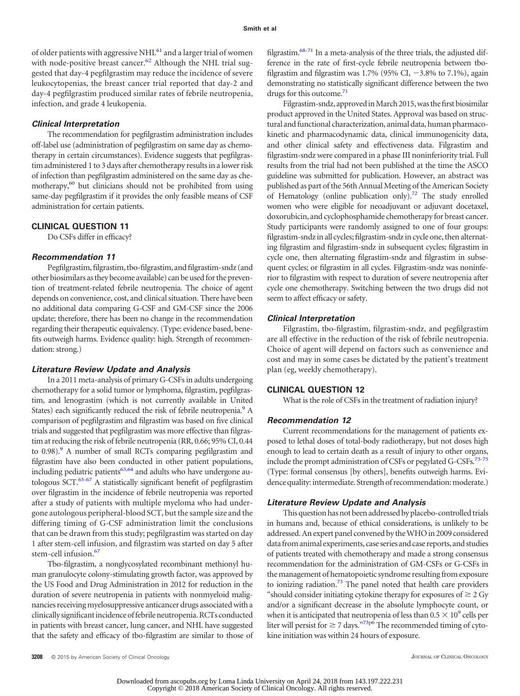of older patients with aggressive NHL $^{61}$  $^{61}$  $^{61}$  and a larger trial of women with node-positive breast cancer.<sup>[62](#page-13-2)</sup> Although the NHL trial suggested that day-4 pegfilgrastim may reduce the incidence of severe leukocytopenias, the breast cancer trial reported that day-2 and day-4 pegfilgrastim produced similar rates of febrile neutropenia, infection, and grade 4 leukopenia.

#### *Clinical Interpretation*

The recommendation for pegfilgrastim administration includes off-label use (administration of pegfilgrastim on same day as chemotherapy in certain circumstances). Evidence suggests that pegfilgrastim administered 1 to 3 days after chemotherapy results in a lower risk of infection than pegfilgrastim administered on the same day as chemotherapy,<sup>60</sup> but clinicians should not be prohibited from using same-day pegfilgrastim if it provides the only feasible means of CSF administration for certain patients.

#### **CLINICAL QUESTION 11**

Do CSFs differ in efficacy?

#### *Recommendation 11*

Pegfilgrastim, filgrastim, tbo-filgrastim, and filgrastim-sndz (and other biosimilars as they become available) can be used for the prevention of treatment-related febrile neutropenia. The choice of agent depends on convenience, cost, and clinical situation. There have been no additional data comparing G-CSF and GM-CSF since the 2006 update; therefore, there has been no change in the recommendation regarding their therapeutic equivalency. (Type: evidence based, benefits outweigh harms. Evidence quality: high. Strength of recommendation: strong.)

### *Literature Review Update and Analysis*

In a 2011 meta-analysis of primary G-CSFs in adults undergoing chemotherapy for a solid tumor or lymphoma, filgrastim, pegfilgrastim, and lenograstim (which is not currently available in United States) each significantly reduced the risk of febrile neutropenia.<sup>9</sup> A comparison of pegfilgrastim and filgrastim was based on five clinical trials and suggested that pegfilgrastim was more effective than filgrastim at reducing the risk of febrile neutropenia (RR, 0.66; 95% CI, 0.44 to 0[.9](#page-11-8)8).<sup>9</sup> A number of small RCTs comparing pegfilgrastim and filgrastim have also been conducted in other patient populations, including pediatric patients<sup>63[,64](#page-13-4)</sup> and adults who have undergone autologous  $SCT$ .<sup>65-[67](#page-13-6)</sup> A statistically significant benefit of pegfilgrastim over filgrastim in the incidence of febrile neutropenia was reported after a study of patients with multiple myeloma who had undergone autologous peripheral-blood SCT, but the sample size and the differing timing of G-CSF administration limit the conclusions that can be drawn from this study; pegfilgrastim was started on day 1 after stem-cell infusion, and filgrastim was started on day 5 after stem-cell infusion.<sup>[67](#page-13-6)</sup>

Tbo-filgrastim, a nonglycosylated recombinant methionyl human granulocyte colony-stimulating growth factor, was approved by the US Food and Drug Administration in 2012 for reduction in the duration of severe neutropenia in patients with nonmyeloid malignancies receiving myelosuppressive anticancer drugs associated with a clinically significantincidence offebrile neutropenia.RCTs conducted in patients with breast cancer, lung cancer, and NHL have suggested that the safety and efficacy of tbo-filgrastim are similar to those of filgrastim[.68-](#page-13-7)[71](#page-13-8) In a meta-analysis of the three trials, the adjusted difference in the rate of first-cycle febrile neutropenia between tbofilgrastim and filgrastim was 1.7% (95% CI,  $-3.8\%$  to 7.1%), again demonstrating no statistically significant difference between the two drugs for this outcome.<sup>71</sup>

Filgrastim-sndz, approved in March 2015, was the first biosimilar product approved in the United States. Approval was based on structural and functional characterization, animal data, human pharmacokinetic and pharmacodynamic data, clinical immunogenicity data, and other clinical safety and effectiveness data. Filgrastim and filgrastim-sndz were compared in a phase III noninferiority trial. Full results from the trial had not been published at the time the ASCO guideline was submitted for publication. However, an abstract was published as part of the 56th Annual Meeting of the American Society of Hematology (online publication only). $72$  The study enrolled women who were eligible for neoadjuvant or adjuvant docetaxel, doxorubicin, and cyclophosphamide chemotherapy for breast cancer. Study participants were randomly assigned to one of four groups: filgrastim-sndz in all cycles; filgrastim-sndz in cycle one, then alternating filgrastim and filgrastim-sndz in subsequent cycles; filgrastim in cycle one, then alternating filgrastim-sndz and filgrastim in subsequent cycles; or filgrastim in all cycles. Filgrastim-sndz was noninferior to filgrastim with respect to duration of severe neutropenia after cycle one chemotherapy. Switching between the two drugs did not seem to affect efficacy or safety.

#### *Clinical Interpretation*

Filgrastim, tbo-filgrastim, filgrastim-sndz, and pegfilgrastim are all effective in the reduction of the risk of febrile neutropenia. Choice of agent will depend on factors such as convenience and cost and may in some cases be dictated by the patient's treatment plan (eg, weekly chemotherapy).

#### **CLINICAL QUESTION 12**

What is the role of CSFs in the treatment of radiation injury?

### *Recommendation 12*

Current recommendations for the management of patients exposed to lethal doses of total-body radiotherapy, but not doses high enough to lead to certain death as a result of injury to other organs, include the prompt administration of CSFs or pegylated G-CSFs[.73-](#page-13-10)[75](#page-13-11) (Type: formal consensus [by others], benefits outweigh harms. Evidence quality: intermediate. Strength of recommendation: moderate.)

#### *Literature Review Update and Analysis*

This question has not been addressed by placebo-controlled trials in humans and, because of ethical considerations, is unlikely to be addressed. An expert panel convened by theWHO in 2009 considered data from animal experiments, case series and case reports, and studies of patients treated with chemotherapy and made a strong consensus recommendation for the administration of GM-CSFs or G-CSFs in the management of hematopoietic syndrome resulting from exposure to ionizing radiation[.73](#page-13-10) The panel noted that health care providers "should consider initiating cytokine therapy for exposures of  $\geq 2$  Gy and/or a significant decrease in the absolute lymphocyte count, or when it is anticipated that neutropenia of less than  $0.5 \times 10^9$  cells per liter will persist for  $\geq 7$  days."<sup>73p6</sup> The recommended timing of cytokine initiation was within 24 hours of exposure.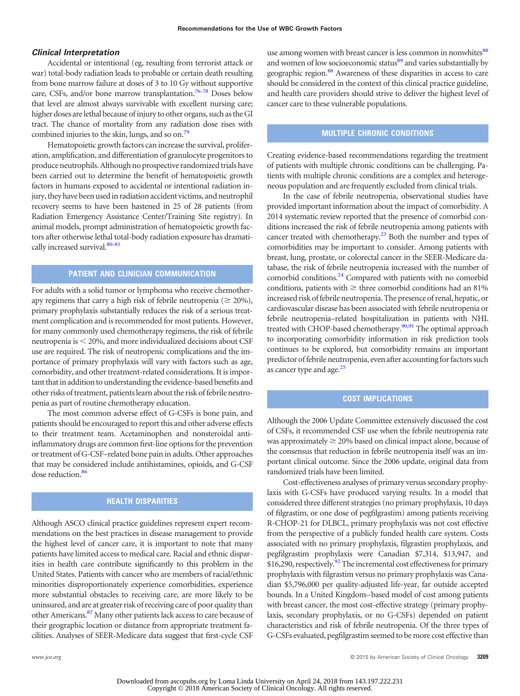### *Clinical Interpretation*

Accidental or intentional (eg, resulting from terrorist attack or war) total-body radiation leads to probable or certain death resulting from bone marrow failure at doses of 3 to 10 Gy without supportive care, CSFs, and/or bone marrow transplantation.<sup>76-[78](#page-13-13)</sup> Doses below that level are almost always survivable with excellent nursing care; higher doses are lethal because of injury to other organs, such as the GI tract. The chance of mortality from any radiation dose rises with combined injuries to the skin, lungs, and so on.<sup>79</sup>

Hematopoietic growth factors can increase the survival, proliferation, amplification, and differentiation of granulocyte progenitors to produce neutrophils. Although no prospective randomized trials have been carried out to determine the benefit of hematopoietic growth factors in humans exposed to accidental or intentional radiation injury, they have been used in radiation accident victims, and neutrophil recovery seems to have been hastened in 25 of 28 patients (from Radiation Emergency Assistance Center/Training Site registry). In animal models, prompt administration of hematopoietic growth factors after otherwise lethal total-body radiation exposure has dramati-cally increased survival.<sup>80-[85](#page-13-16)</sup>

### **PATIENT AND CLINICIAN COMMUNICATION**

For adults with a solid tumor or lymphoma who receive chemotherapy regimens that carry a high risk of febrile neutropenia ( $\geq 20\%$ ), primary prophylaxis substantially reduces the risk of a serious treatment complication and is recommended for most patients. However, for many commonly used chemotherapy regimens, the risk of febrile neutropenia is  $<$  20%, and more individualized decisions about CSF use are required. The risk of neutropenic complications and the importance of primary prophylaxis will vary with factors such as age, comorbidity, and other treatment-related considerations. It is important that in addition to understanding the evidence-based benefits and other risks of treatment, patients learn about the risk of febrile neutropenia as part of routine chemotherapy education.

The most common adverse effect of G-CSFs is bone pain, and patients should be encouraged to report this and other adverse effects to their treatment team. Acetaminophen and nonsteroidal antiinflammatory drugs are common first-line options for the prevention or treatment of G-CSF–related bone pain in adults. Other approaches that may be considered include antihistamines, opioids, and G-CSF dose reduction.<sup>86</sup>

### **HEALTH DISPARITIES**

Although ASCO clinical practice guidelines represent expert recommendations on the best practices in disease management to provide the highest level of cancer care, it is important to note that many patients have limited access to medical care. Racial and ethnic disparities in health care contribute significantly to this problem in the United States. Patients with cancer who are members of racial/ethnic minorities disproportionately experience comorbidities, experience more substantial obstacles to receiving care, are more likely to be uninsured, and are at greater risk of receiving care of poor quality than other Americans[.87](#page-13-18) Many other patients lack access to care because of their geographic location or distance from appropriate treatment facilities. Analyses of SEER-Medicare data suggest that first-cycle CSF

use among women with breast cancer is less common in nonwhites<sup>88</sup> and women of low socioeconomic status<sup>89</sup> and varies substantially by geographic region.<sup>88</sup> Awareness of these disparities in access to care should be considered in the context of this clinical practice guideline, and health care providers should strive to deliver the highest level of cancer care to these vulnerable populations.

#### **MULTIPLE CHRONIC CONDITIONS**

Creating evidence-based recommendations regarding the treatment of patients with multiple chronic conditions can be challenging. Patients with multiple chronic conditions are a complex and heterogeneous population and are frequently excluded from clinical trials.

In the case of febrile neutropenia, observational studies have provided important information about the impact of comorbidity. A 2014 systematic review reported that the presence of comorbid conditions increased the risk of febrile neutropenia among patients with cancer treated with chemotherapy.<sup>23</sup> Both the number and types of comorbidities may be important to consider. Among patients with breast, lung, prostate, or colorectal cancer in the SEER-Medicare database, the risk of febrile neutropenia increased with the number of comorbid conditions[.24](#page-12-34) Compared with patients with no comorbid conditions, patients with  $\geq$  three comorbid conditions had an 81% increased risk of febrile neutropenia. The presence of renal, hepatic, or cardiovascular disease has been associated with febrile neutropenia or febrile neutropenia–related hospitalization in patients with NHL treated with CHOP-based chemotherapy.<sup>90,[91](#page-13-22)</sup> The optimal approach to incorporating comorbidity information in risk prediction tools continues to be explored, but comorbidity remains an important predictor of febrile neutropenia, even after accounting for factors such as cancer type and age.<sup>25</sup>

#### **COST IMPLICATIONS**

Although the 2006 Update Committee extensively discussed the cost of CSFs, it recommended CSF use when the febrile neutropenia rate was approximately  $\geq$  20% based on clinical impact alone, because of the consensus that reduction in febrile neutropenia itself was an important clinical outcome. Since the 2006 update, original data from randomized trials have been limited.

Cost-effectiveness analyses of primary versus secondary prophylaxis with G-CSFs have produced varying results. In a model that considered three different strategies (no primary prophylaxis, 10 days of filgrastim, or one dose of pegfilgrastim) among patients receiving R-CHOP-21 for DLBCL, primary prophylaxis was not cost effective from the perspective of a publicly funded health care system. Costs associated with no primary prophylaxis, filgrastim prophylaxis, and pegfilgrastim prophylaxis were Canadian \$7,314, \$13,947, and \$16,290, respectively. $^{92}$  The incremental cost effectiveness for primary prophylaxis with filgrastim versus no primary prophylaxis was Canadian \$5,796,000 per quality-adjusted life-year, far outside accepted bounds. In a United Kingdom–based model of cost among patients with breast cancer, the most cost-effective strategy (primary prophylaxis, secondary prophylaxis, or no G-CSFs) depended on patient characteristics and risk of febrile neutropenia. Of the three types of G-CSFs evaluated, pegfilgrastim seemed to be more cost effective than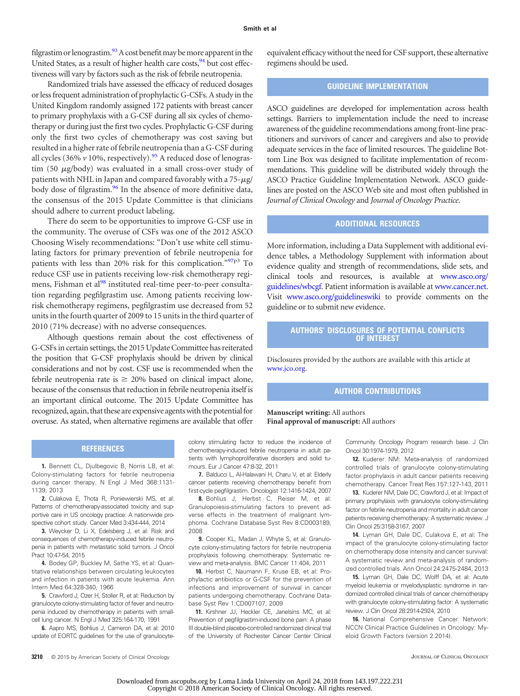filgrastim or lenograstim.<sup>93</sup> A cost benefit may be more apparent in the United States, as a result of higher health care costs,  $94$  but cost effectiveness will vary by factors such as the risk of febrile neutropenia.

Randomized trials have assessed the efficacy of reduced dosages or less frequent administration of prophylactic G-CSFs. A study in the United Kingdom randomly assigned 172 patients with breast cancer to primary prophylaxis with a G-CSF during all six cycles of chemotherapy or during just the first two cycles. Prophylactic G-CSF during only the first two cycles of chemotherapy was cost saving but resulted in a higher rate of febrile neutropenia than a G-CSF during all cycles (36%  $\nu$  10%, respectively).<sup>[95](#page-13-26)</sup> A reduced dose of lenograstim (50  $\mu$ g/body) was evaluated in a small cross-over study of patients with NHL in Japan and compared favorably with a  $75 - \mu g$ / body dose of filgrastim.<sup>[96](#page-13-27)</sup> In the absence of more definitive data, the consensus of the 2015 Update Committee is that clinicians should adhere to current product labeling.

There do seem to be opportunities to improve G-CSF use in the community. The overuse of CSFs was one of the 2012 ASCO Choosing Wisely recommendations: "Don't use white cell stimulating factors for primary prevention of febrile neutropenia for patients with less than 20% risk for this complication."[97p](#page-13-28)3 To reduce CSF use in patients receiving low-risk chemotherapy regi-mens, Fishman et al<sup>[98](#page-13-29)</sup> instituted real-time peer-to-peer consultation regarding pegfilgrastim use. Among patients receiving lowrisk chemotherapy regimens, pegfilgrastim use decreased from 52 units in the fourth quarter of 2009 to 15 units in the third quarter of 2010 (71% decrease) with no adverse consequences.

Although questions remain about the cost effectiveness of G-CSFs in certain settings, the 2015 Update Committee has reiterated the position that G-CSF prophylaxis should be driven by clinical considerations and not by cost. CSF use is recommended when the febrile neutropenia rate is  $\geq$  20% based on clinical impact alone, because of the consensus that reduction in febrile neutropenia itself is an important clinical outcome. The 2015 Update Committee has recognized, again, that these are expensive agents with the potential for overuse. As stated, when alternative regimens are available that offer

equivalent efficacy without the need for CSF support, these alternative regimens should be used.

### **GUIDELINE IMPLEMENTATION**

ASCO guidelines are developed for implementation across health settings. Barriers to implementation include the need to increase awareness of the guideline recommendations among front-line practitioners and survivors of cancer and caregivers and also to provide adequate services in the face of limited resources. The guideline Bottom Line Box was designed to facilitate implementation of recommendations. This guideline will be distributed widely through the ASCO Practice Guideline Implementation Network. ASCO guidelines are posted on the ASCO Web site and most often published in *Journal of Clinical Oncology* and *Journal of Oncology Practice*.

### **ADDITIONAL RESOURCES**

More information, including a Data Supplement with additional evidence tables, a Methodology Supplement with information about evidence quality and strength of recommendations, slide sets, and clinical tools and resources, is available at [www.asco.org/](http://www.asco.org/guidelines/wbcgf) [guidelines/wbcgf.](http://www.asco.org/guidelines/wbcgf) Patient information is available at [www.cancer.net.](http://www.cancer.net) Visit [www.asco.org/guidelineswiki](http://www.asco.org/guidelineswiki) to provide comments on the guideline or to submit new evidence.

#### **AUTHORS' DISCLOSURES OF POTENTIAL CONFLICTS OF INTEREST**

Disclosures provided by the authors are available with this article at [www.jco.org.](http://www.jco.org)

### **AUTHOR CONTRIBUTIONS**

#### **Manuscript writing:** All authors **Final approval of manuscript:** All authors

#### **REFERENCES**

<span id="page-11-0"></span>**1.** Bennett CL, Djulbegovic B, Norris LB, et al: Colony-stimulating factors for febrile neutropenia during cancer therapy. N Engl J Med 368:1131- 1139, 2013

<span id="page-11-2"></span>**2.** Culakova E, Thota R, Poniewierski MS, et al: Patterns of chemotherapy-associated toxicity and supportive care in US oncology practice: A nationwide prospective cohort study. Cancer Med 3:434-444, 2014

<span id="page-11-1"></span>**3.** Weycker D, Li X, Edelsberg J, et al: Risk and consequences of chemotherapy-induced febrile neutropenia in patients with metastatic solid tumors. J Oncol Pract 10:47-54, 2015

<span id="page-11-3"></span>**4.** Bodey GP, Buckley M, Sathe YS, et al: Quantitative relationships between circulating leukocytes and infection in patients with acute leukemia. Ann Intern Med 64:328-340, 1966

<span id="page-11-4"></span>**5.** Crawford J, Ozer H, Stoller R, et al: Reduction by granulocyte colony-stimulating factor of fever and neutropenia induced by chemotherapy in patients with smallcell lung cancer. N Engl J Med 325:164-170, 1991

<span id="page-11-5"></span>**6.** Aapro MS, Bohlius J, Cameron DA, et al: 2010 update of EORTC guidelines for the use of granulocyte-

colony stimulating factor to reduce the incidence of chemotherapy-induced febrile neutropenia in adult patients with lymphoproliferative disorders and solid tumours. Eur J Cancer 47:8-32, 2011

<span id="page-11-6"></span>**7.** Balducci L, Al-Halawani H, Charu V, et al: Elderly cancer patients receiving chemotherapy benefit from first-cycle pegfilgrastim. Oncologist 12:1416-1424, 2007

<span id="page-11-7"></span>**8.** Bohlius J, Herbst C, Reiser M, et al: Granulopoiesis-stimulating factors to prevent adverse effects in the treatment of malignant lymphoma. Cochrane Database Syst Rev 8:CD003189, 2008

<span id="page-11-8"></span>**9.** Cooper KL, Madan J, Whyte S, et al: Granulocyte colony-stimulating factors for febrile neutropenia prophylaxis following chemotherapy: Systematic review and meta-analysis. BMC Cancer 11:404, 2011

**10.** Herbst C, Naumann F, Kruse EB, et al: Prophylactic antibiotics or G-CSF for the prevention of infections and improvement of survival in cancer patients undergoing chemotherapy. Cochrane Database Syst Rev 1:CD007107, 2009

<span id="page-11-12"></span>**11.** Kirshner JJ, Heckler CE, Janelsins MC, et al: Prevention of pegfilgrastim-induced bone pain: A phase III double-blind placebo-controlled randomized clinical trial of the University of Rochester Cancer Center Clinical

Community Oncology Program research base. J Clin Oncol 30:1974-1979, 2012

<span id="page-11-9"></span>**12.** Kuderer NM: Meta-analysis of randomized controlled trials of granulocyte colony-stimulating factor prophylaxis in adult cancer patients receiving chemotherapy. Cancer Treat Res 157:127-143, 2011

<span id="page-11-10"></span>**13.** Kuderer NM, Dale DC, Crawford J, et al: Impact of primary prophylaxis with granulocyte colony-stimulating factor on febrile neutropenia and mortality in adult cancer patients receiving chemotherapy: A systematic review. J Clin Oncol 25:3158-3167, 2007

<span id="page-11-11"></span>**14.** Lyman GH, Dale DC, Culakova E, et al: The impact of the granulocyte colony-stimulating factor on chemotherapy dose intensity and cancer survival: A systematic review and meta-analysis of randomized controlled trials. Ann Oncol 24:2475-2484, 2013

**15.** Lyman GH, Dale DC, Wolff DA, et al: Acute myeloid leukemia or myelodysplastic syndrome in randomized controlled clinical trials of cancer chemotherapy with granulocyte colony-stimulating factor: A systematic review. J Clin Oncol 28:2914-2924, 2010

<span id="page-11-13"></span>**16.** National Comprehensive Cancer Network: NCCN Clinical Practice Guidelines in Oncology: Myeloid Growth Factors (version 2.2014).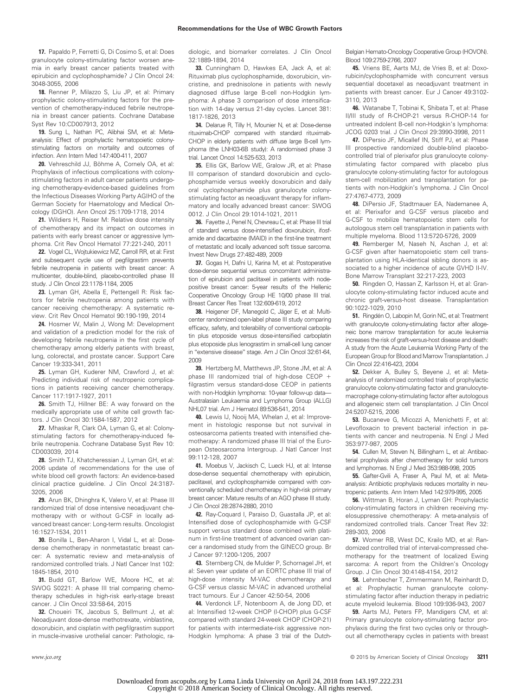**17.** Papaldo P, Ferretti G, Di Cosimo S, et al: Does granulocyte colony-stimulating factor worsen anemia in early breast cancer patients treated with epirubicin and cyclophosphamide? J Clin Oncol 24: 3048-3055, 2006

<span id="page-12-2"></span>**18.** Renner P, Milazzo S, Liu JP, et al: Primary prophylactic colony-stimulating factors for the prevention of chemotherapy-induced febrile neutropenia in breast cancer patients. Cochrane Database Syst Rev 10:CD007913, 2012

<span id="page-12-3"></span>**19.** Sung L, Nathan PC, Alibhai SM, et al: Metaanalysis: Effect of prophylactic hematopoietic colonystimulating factors on mortality and outcomes of infection. Ann Intern Med 147:400-411, 2007

**20.** Vehreschild JJ, Böhme A, Cornely OA, et al: Prophylaxis of infectious complications with colonystimulating factors in adult cancer patients undergoing chemotherapy-evidence-based guidelines from the Infectious Diseases Working Party AGIHO of the German Society for Haematology and Medical Oncology (DGHO). Ann Oncol 25:1709-1718, 2014

<span id="page-12-0"></span>**21.** Wildiers H, Reiser M: Relative dose intensity of chemotherapy and its impact on outcomes in patients with early breast cancer or aggressive lymphoma. Crit Rev Oncol Hematol 77:221-240, 2011

<span id="page-12-1"></span>**22.** Vogel CL, Wojtukiewicz MZ, Carroll RR, et al: First and subsequent cycle use of pegfilgrastim prevents febrile neutropenia in patients with breast cancer: A multicenter, double-blind, placebo-controlled phase III study. J Clin Oncol 23:1178-1184, 2005

<span id="page-12-4"></span>**23.** Lyman GH, Abella E, Pettengell R: Risk factors for febrile neutropenia among patients with cancer receiving chemotherapy: A systematic review. Crit Rev Oncol Hematol 90:190-199, 2014

<span id="page-12-34"></span>**24.** Hosmer W, Malin J, Wong M: Development and validation of a prediction model for the risk of developing febrile neutropenia in the first cycle of chemotherapy among elderly patients with breast, lung, colorectal, and prostate cancer. Support Care Cancer 19:333-341, 2011

<span id="page-12-5"></span>**25.** Lyman GH, Kuderer NM, Crawford J, et al: Predicting individual risk of neutropenic complications in patients receiving cancer chemotherapy. Cancer 117:1917-1927, 2011

<span id="page-12-6"></span>**26.** Smith TJ, Hillner BE: A way forward on the medically appropriate use of white cell growth factors. J Clin Oncol 30:1584-1587, 2012

<span id="page-12-7"></span>**27.** Mhaskar R, Clark OA, Lyman G, et al: Colonystimulating factors for chemotherapy-induced febrile neutropenia. Cochrane Database Syst Rev 10: CD003039, 2014

<span id="page-12-8"></span>**28.** Smith TJ, Khatcheressian J, Lyman GH, et al: 2006 update of recommendations for the use of white blood cell growth factors: An evidence-based clinical practice guideline. J Clin Oncol 24:3187- 3205, 2006

<span id="page-12-9"></span>**29.** Arun BK, Dhinghra K, Valero V, et al: Phase III randomized trial of dose intensive neoadjuvant chemotherapy with or without G-CSF in locally advanced breast cancer: Long-term results. Oncologist 16:1527-1534, 2011

<span id="page-12-11"></span>**30.** Bonilla L, Ben-Aharon I, Vidal L, et al: Dosedense chemotherapy in nonmetastatic breast cancer: A systematic review and meta-analysis of randomized controlled trials. J Natl Cancer Inst 102: 1845-1854, 2010

<span id="page-12-13"></span>**31.** Budd GT, Barlow WE, Moore HC, et al: SWOG S0221: A phase III trial comparing chemotherapy schedules in high-risk early-stage breast cancer. J Clin Oncol 33:58-64, 2015

<span id="page-12-22"></span>**32.** Choueiri TK, Jacobus S, Bellmunt J, et al: Neoadjuvant dose-dense methotrexate, vinblastine, doxorubicin, and cisplatin with pegfilgrastim support in muscle-invasive urothelial cancer: Pathologic, ra-

diologic, and biomarker correlates. J Clin Oncol 32:1889-1894, 2014

<span id="page-12-16"></span>**33.** Cunningham D, Hawkes EA, Jack A, et al: Rituximab plus cyclophosphamide, doxorubicin, vincristine, and prednisolone in patients with newly diagnosed diffuse large B-cell non-Hodgkin lymphoma: A phase 3 comparison of dose intensification with 14-day versus 21-day cycles. Lancet 381: 1817-1826, 2013

<span id="page-12-17"></span>**34.** Delarue R, Tilly H, Mounier N, et al: Dose-dense rituximab-CHOP compared with standard rituximab-CHOP in elderly patients with diffuse large B-cell lymphoma (the LNH03-6B study): A randomised phase 3 trial. Lancet Oncol 14:525-533, 2013

<span id="page-12-15"></span>**35.** Ellis GK, Barlow WE, Gralow JR, et al: Phase III comparison of standard doxorubicin and cyclophosphamide versus weekly doxorubicin and daily oral cyclophosphamide plus granulocyte colonystimulating factor as neoadjuvant therapy for inflammatory and locally advanced breast cancer: SWOG 0012. J Clin Oncol 29:1014-1021, 2011

**36.** Fayette J, Penel N, Chevreau C, et al: Phase III trial of standard versus dose-intensified doxorubicin, ifosfamide and dacarbazine (MAID) in the first-line treatment of metastatic and locally advanced soft tissue sarcoma. Invest New Drugs 27:482-489, 2009

<span id="page-12-14"></span>**37.** Gogas H, Dafni U, Karina M, et al: Postoperative dose-dense sequential versus concomitant administration of epirubicin and paclitaxel in patients with nodepositive breast cancer: 5-year results of the Hellenic Cooperative Oncology Group HE 10/00 phase III trial. Breast Cancer Res Treat 132:609-619, 2012

<span id="page-12-18"></span>**38.** Heigener DF, Manegold C, Jäger E, et al: Multicenter randomized open-label phase III study comparing efficacy, safety, and tolerability of conventional carboplatin plus etoposide versus dose-intensified carboplatin plus etoposide plus lenograstim in small-cell lung cancer in "extensive disease" stage. Am J Clin Oncol 32:61-64, 2009

**39.** Hertzberg M, Matthews JP, Stone JM, et al: A phase III randomized trial of high-dose CEOP + filgrastim versus standard-dose CEOP in patients with non-Hodgkin lymphoma: 10-year follow-up data— Australasian Leukaemia and Lymphoma Group (ALLG) NHL07 trial. Am J Hematol 89:536-541, 2014

<span id="page-12-19"></span>**40.** Lewis IJ, Nooij MA, Whelan J, et al: Improvement in histologic response but not survival in osteosarcoma patients treated with intensified chemotherapy: A randomized phase III trial of the European Osteosarcoma Intergroup. J Natl Cancer Inst 99:112-128, 2007

<span id="page-12-12"></span>**41.** Moebus V, Jackisch C, Lueck HJ, et al: Intense dose-dense sequential chemotherapy with epirubicin, paclitaxel, and cyclophosphamide compared with conventionally scheduled chemotherapy in high-risk primary breast cancer: Mature results of an AGO phase III study. J Clin Oncol 28:2874-2880, 2010

<span id="page-12-20"></span>**42.** Ray-Coquard I, Paraiso D, Guastalla JP, et al: Intensified dose of cyclophosphamide with G-CSF support versus standard dose combined with platinum in first-line treatment of advanced ovarian cancer a randomised study from the GINECO group. Br J Cancer 97:1200-1205, 2007

<span id="page-12-21"></span>**43.** Sternberg CN, de Mulder P, Schornagel JH, et al: Seven year update of an EORTC phase III trial of high-dose intensity M-VAC chemotherapy and G-CSF versus classic M-VAC in advanced urothelial tract tumours. Eur J Cancer 42:50-54, 2006

**44.** Verdonck LF, Notenboom A, de Jong DD, et al: Intensified 12-week CHOP (I-CHOP) plus G-CSF compared with standard 24-week CHOP (CHOP-21) for patients with intermediate-risk aggressive non-Hodgkin lymphoma: A phase 3 trial of the DutchBelgian Hemato-Oncology Cooperative Group (HOVON). Blood 109:2759-2766, 2007

**45.** Vriens BE, Aarts MJ, de Vries B, et al: Doxorubicin/cyclophosphamide with concurrent versus sequential docetaxel as neoadjuvant treatment in patients with breast cancer. Eur J Cancer 49:3102- 3110, 2013

<span id="page-12-10"></span>**46.** Watanabe T, Tobinai K, Shibata T, et al: Phase II/III study of R-CHOP-21 versus R-CHOP-14 for untreated indolent B-cell non-Hodgkin's lymphoma: JCOG 0203 trial. J Clin Oncol 29:3990-3998, 2011

<span id="page-12-23"></span>**47.** DiPersio JF, Micallef IN, Stiff PJ, et al: Phase III prospective randomized double-blind placebocontrolled trial of plerixafor plus granulocyte colonystimulating factor compared with placebo plus granulocyte colony-stimulating factor for autologous stem-cell mobilization and transplantation for patients with non-Hodgkin's lymphoma. J Clin Oncol 27:4767-4773, 2009

<span id="page-12-24"></span>**48.** DiPersio JF, Stadtmauer EA, Nademanee A, et al: Plerixafor and G-CSF versus placebo and G-CSF to mobilize hematopoietic stem cells for autologous stem cell transplantation in patients with multiple myeloma. Blood 113:5720-5726, 2009

<span id="page-12-25"></span>**49.** Remberger M, Naseh N, Aschan J, et al: G-CSF given after haematopoietic stem cell transplantation using HLA-identical sibling donors is associated to a higher incidence of acute GVHD II-IV. Bone Marrow Transplant 32:217-223, 2003

**50.** Ringden O, Hassan Z, Karlsson H, et al: Granulocyte colony-stimulating factor induced acute and chronic graft-versus-host disease. Transplantation 90:1022-1029, 2010

<span id="page-12-26"></span>**51.** Ringdén O, Labopin M, Gorin NC, et al: Treatment with granulocyte colony-stimulating factor after allogeneic bone marrow transplantation for acute leukemia increases the risk of graft-versus-host disease and death: A study from the Acute Leukemia Working Party of the European Group for Blood and Marrow Transplantation. J Clin Oncol 22:416-423, 2004

<span id="page-12-27"></span>**52.** Dekker A, Bulley S, Beyene J, et al: Metaanalysis of randomized controlled trials of prophylactic granulocyte colony-stimulating factor and granulocytemacrophage colony-stimulating factor after autologous and allogeneic stem cell transplantation. J Clin Oncol 24:5207-5215, 2006

<span id="page-12-28"></span>**53.** Bucaneve G, Micozzi A, Menichetti F, et al: Levofloxacin to prevent bacterial infection in patients with cancer and neutropenia. N Engl J Med 353:977-987, 2005

**54.** Cullen M, Steven N, Billingham L, et al: Antibacterial prophylaxis after chemotherapy for solid tumors and lymphomas. N Engl J Med 353:988-998, 2005

<span id="page-12-29"></span>**55.** Gafter-Gvili A, Fraser A, Paul M, et al: Metaanalysis: Antibiotic prophylaxis reduces mortality in neutropenic patients. Ann Intern Med 142:979-995, 2005

<span id="page-12-30"></span>**56.** Wittman B, Horan J, Lyman GH: Prophylactic colony-stimulating factors in children receiving myelosuppressive chemotherapy: A meta-analysis of randomized controlled trials. Cancer Treat Rev 32: 289-303, 2006

<span id="page-12-31"></span>**57.** Womer RB, West DC, Krailo MD, et al: Randomized controlled trial of interval-compressed chemotherapy for the treatment of localized Ewing sarcoma: A report from the Children's Oncology Group. J Clin Oncol 30:4148-4154, 2012

<span id="page-12-32"></span>**58.** Lehrnbecher T, Zimmermann M, Reinhardt D, et al: Prophylactic human granulocyte colonystimulating factor after induction therapy in pediatric acute myeloid leukemia. Blood 109:936-943, 2007

<span id="page-12-33"></span>**59.** Aarts MJ, Peters FP, Mandigers CM, et al: Primary granulocyte colony-stimulating factor prophylaxis during the first two cycles only or throughout all chemotherapy cycles in patients with breast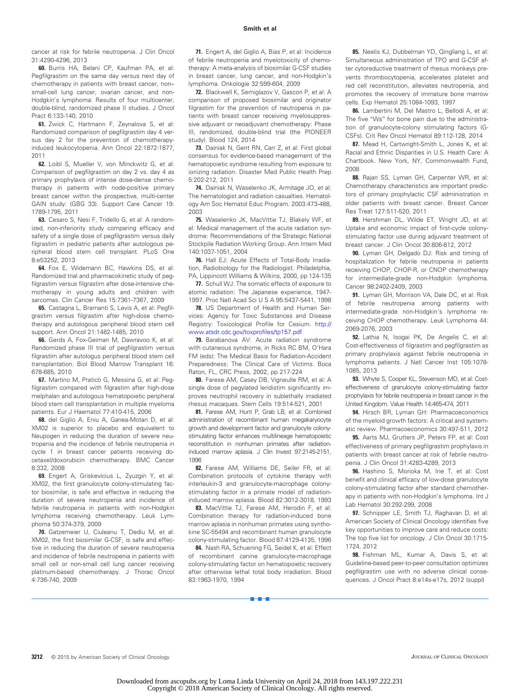#### **Smith et al**

cancer at risk for febrile neutropenia. J Clin Oncol 31:4290-4296, 2013

<span id="page-13-0"></span>**60.** Burris HA, Belani CP, Kaufman PA, et al: Pegfilgrastim on the same day versus next day of chemotherapy in patients with breast cancer, non– small-cell lung cancer, ovarian cancer, and non-Hodgkin's lymphoma: Results of four multicenter, double-blind, randomized phase II studies. J Oncol Pract 6:133-140, 2010

<span id="page-13-1"></span>**61.** Zwick C, Hartmann F, Zeynalova S, et al: Randomized comparison of pegfilgrastim day 4 versus day 2 for the prevention of chemotherapyinduced leukocytopenia. Ann Oncol 22:1872-1877, 2011

<span id="page-13-2"></span>**62.** Loibl S, Mueller V, von Minckwitz G, et al: Comparison of pegfilgrastim on day 2 vs. day 4 as primary prophylaxis of intense dose-dense chemotherapy in patients with node-positive primary breast cancer within the prospective, multi-center GAIN study: (GBG 33). Support Care Cancer 19: 1789-1795, 2011

<span id="page-13-3"></span>**63.** Cesaro S, Nesi F, Tridello G, et al: A randomized, non-inferiority study comparing efficacy and safety of a single dose of pegfilgrastim versus daily filgrastim in pediatric patients after autologous peripheral blood stem cell transplant. PLoS One 8:e53252, 2013

<span id="page-13-4"></span>**64.** Fox E, Widemann BC, Hawkins DS, et al: Randomized trial and pharmacokinetic study of pegfilgrastim versus filgrastim after dose-intensive chemotherapy in young adults and children with sarcomas. Clin Cancer Res 15:7361-7367, 2009

<span id="page-13-5"></span>**65.** Castagna L, Bramanti S, Levis A, et al: Pegfilgrastim versus filgrastim after high-dose chemotherapy and autologous peripheral blood stem cell support. Ann Oncol 21:1482-1485, 2010

**66.** Gerds A, Fox-Geiman M, Dawravoo K, et al: Randomized phase III trial of pegfilgrastim versus filgrastim after autologus peripheral blood stem cell transplantation. Biol Blood Marrow Transplant 16: 678-685, 2010

<span id="page-13-6"></span>**67.** Martino M, Praticò G, Messina G, et al: Pegfilgrastim compared with filgrastim after high-dose melphalan and autologous hematopoietic peripheral blood stem cell transplantation in multiple myeloma patients. Eur J Haematol 77:410-415, 2006

<span id="page-13-7"></span>**68.** del Giglio A, Eniu A, Ganea-Motan D, et al: XM02 is superior to placebo and equivalent to Neupogen in reducing the duration of severe neutropenia and the incidence of febrile neutropenia in cycle 1 in breast cancer patients receiving docetaxel/doxorubicin chemotherapy. BMC Cancer 8:332, 2008

**69.** Engert A, Griskevicius L, Zyuzgin Y, et al: XM02, the first granulocyte colony-stimulating factor biosimilar, is safe and effective in reducing the duration of severe neutropenia and incidence of febrile neutropenia in patients with non-Hodgkin lymphoma receiving chemotherapy. Leuk Lymphoma 50:374-379, 2009

**70.** Gatzemeier U, Ciuleanu T, Dediu M, et al: XM02, the first biosimilar G-CSF, is safe and effective in reducing the duration of severe neutropenia and incidence of febrile neutropenia in patients with small cell or non-small cell lung cancer receiving platinum-based chemotherapy. J Thorac Oncol 4:736-740, 2009

<span id="page-13-8"></span>**71.** Engert A, del Giglio A, Bias P, et al: Incidence of febrile neutropenia and myelotoxicity of chemotherapy: A meta-analysis of biosimilar G-CSF studies in breast cancer, lung cancer, and non-Hodgkin's lymphoma. Onkologie 32:599-604, 2009

<span id="page-13-9"></span>**72.** Blackwell K, Semiglazov V, Gascon P, et al: A comparison of proposed biosimilar and originator filgrastim for the prevention of neutropenia in patients with breast cancer receiving myelosuppressive adjuvant or neoadjuvant chemotherapy: Phase III, randomized, double-blind trial (the PIONEER study). Blood 124, 2014

<span id="page-13-10"></span>**73.** Dainiak N, Gent RN, Carr Z, et al: First global consensus for evidence-based management of the hematopoietic syndrome resulting from exposure to ionizing radiation. Disaster Med Public Health Prep 5:202-212, 2011

**74.** Dainiak N, Waselenko JK, Armitage JO, et al: The hematologist and radiation casualties. Hematology Am Soc Hematol Educ Program. 2003:473-488, 2003

<span id="page-13-11"></span>**75.** Waselenko JK, MacVittie TJ, Blakely WF, et al: Medical management of the acute radiation syndrome: Recommendations of the Strategic National Stockpile Radiation Working Group. Ann Intern Med 140:1037-1051, 2004

<span id="page-13-12"></span>**76.** Hall EJ: Acute Effects of Total-Body Irradiation, Radiobiology for the Radiologist. Philadelphia, PA, Lippincott Williams & Wilkins, 2000, pp 124-135

**77.** Schull WJ: The somatic effects of exposure to atomic radiation: The Japanese experience, 1947- 1997. Proc Natl Acad Sci U S A 95:5437-5441, 1998

<span id="page-13-13"></span>**78.** US Department of Health and Human Services: Agency for Toxic Substances and Disease Registry: Toxicological Profile for Cesium. [http://](http://www.atsdr.cdc.gov/toxprofiles/tp157.pdf) [www.atsdr.cdc.gov/toxprofiles/tp157.pdf](http://www.atsdr.cdc.gov/toxprofiles/tp157.pdf)

<span id="page-13-14"></span>**79.** Barabanova AV: Acute radiation syndrome with cutaneous syndrome, in Ricks RC BM, O'Hara FM (eds): The Medical Basis for Radiation-Accident Preparedness: The Clinical Care of Victims. Boca Raton, FL, CRC Press, 2002, pp 217-224

<span id="page-13-15"></span>**80.** Farese AM, Casey DB, Vigneulle RM, et al: A single dose of pegylated leridistim significantly improves neutrophil recovery in sublethally irradiated rhesus macaques. Stem Cells 19:514-521, 2001

**81.** Farese AM, Hunt P, Grab LB, et al: Combined administration of recombinant human megakaryocyte growth and development factor and granulocyte colonystimulating factor enhances multilineage hematopoietic reconstitution in nonhuman primates after radiationinduced marrow aplasia. J Clin Invest 97:2145-2151, 1996

**82.** Farese AM, Williams DE, Seiler FR, et al: Combination protocols of cytokine therapy with interleukin-3 and granulocyte-macrophage colonystimulating factor in a primate model of radiationinduced marrow aplasia. Blood 82:3012-3018, 1993

**83.** MacVittie TJ, Farese AM, Herodin F, et al: Combination therapy for radiation-induced bone marrow aplasia in nonhuman primates using synthokine SC-55494 and recombinant human granulocyte colony-stimulating factor. Blood 87:4129-4135, 1996

**84.** Nash RA, Schuening FG, Seidel K, et al: Effect of recombinant canine granulocyte-macrophage colony-stimulating factor on hematopoietic recovery after otherwise lethal total body irradiation. Blood 83:1963-1970, 1994

■■■

<span id="page-13-16"></span>**85.** Neelis KJ, Dubbelman YD, Qingliang L, et al: Simultaneous administration of TPO and G-CSF after cytoreductive treatment of rhesus monkeys prevents thrombocytopenia, accelerates platelet and red cell reconstitution, alleviates neutropenia, and promotes the recovery of immature bone marrow cells. Exp Hematol 25:1084-1093, 1997

<span id="page-13-17"></span>**86.** Lambertini M, Del Mastro L, Bellodi A, et al: The five "Ws" for bone pain due to the administration of granulocyte-colony stimulating factors (G-CSFs). Crit Rev Oncol Hematol 89:112-128, 2014

<span id="page-13-18"></span>**87.** Mead H, Cartwright-Smith L, Jones K, et al: Racial and Ethnic Disparities in U.S. Health Care: A Chartbook. New York, NY, Commonwealth Fund, 2008

<span id="page-13-19"></span>**88.** Rajan SS, Lyman GH, Carpenter WR, et al: Chemotherapy characteristics are important predictors of primary prophylactic CSF administration in older patients with breast cancer. Breast Cancer Res Treat 127:511-520, 2011

<span id="page-13-20"></span>**89.** Hershman DL, Wilde ET, Wright JD, et al: Uptake and economic impact of first-cycle colonystimulating factor use during adjuvant treatment of breast cancer. J Clin Oncol 30:806-812, 2012

<span id="page-13-21"></span>**90.** Lyman GH, Delgado DJ: Risk and timing of hospitalization for febrile neutropenia in patients receiving CHOP, CHOP-R, or CNOP chemotherapy for intermediate-grade non-Hodgkin lymphoma. Cancer 98:2402-2409, 2003

<span id="page-13-22"></span>**91.** Lyman GH, Morrison VA, Dale DC, et al: Risk of febrile neutropenia among patients with intermediate-grade non-Hodgkin's lymphoma receiving CHOP chemotherapy. Leuk Lymphoma 44: 2069-2076, 2003

<span id="page-13-23"></span>**92.** Lathia N, Isogai PK, De Angelis C, et al: Cost-effectiveness of filgrastim and pegfilgrastim as primary prophylaxis against febrile neutropenia in lymphoma patients. J Natl Cancer Inst 105:1078- 1085, 2013

<span id="page-13-24"></span>**93.** Whyte S, Cooper KL, Stevenson MD, et al: Costeffectiveness of granulocyte colony-stimulating factor prophylaxis for febrile neutropenia in breast cancer in the United Kingdom. Value Health 14:465-474, 2011

<span id="page-13-25"></span>**94.** Hirsch BR, Lyman GH: Pharmacoeconomics of the myeloid growth factors: A critical and systematic review. Pharmacoeconomics 30:497-511, 2012

<span id="page-13-26"></span>**95.** Aarts MJ, Grutters JP, Peters FP, et al: Cost effectiveness of primary pegfilgrastim prophylaxis in patients with breast cancer at risk of febrile neutropenia. J Clin Oncol 31:4283-4289, 2013

<span id="page-13-27"></span>**96.** Hashino S, Morioka M, Irie T, et al: Cost benefit and clinical efficacy of low-dose granulocyte colony-stimulating factor after standard chemotherapy in patients with non-Hodgkin's lymphoma. Int J Lab Hematol 30:292-299, 2008

<span id="page-13-28"></span>**97.** Schnipper LE, Smith TJ, Raghavan D, et al: American Society of Clinical Oncology identifies five key opportunities to improve care and reduce costs: The top five list for oncology. J Clin Oncol 30:1715- 1724, 2012

<span id="page-13-29"></span>**98.** Fishman ML, Kumar A, Davis S, et al: Guideline-based peer-to-peer consultation optimizes pegfilgrastim use with no adverse clinical consequences. J Oncol Pract 8:e14s-e17s, 2012 (suppl)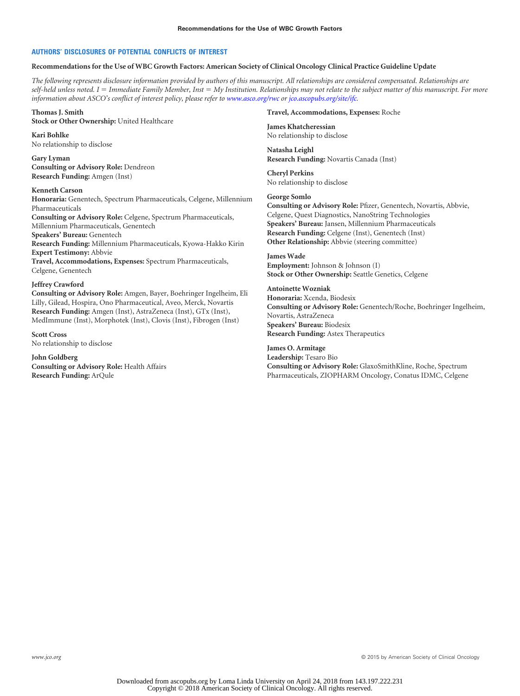#### **AUTHORS' DISCLOSURES OF POTENTIAL CONFLICTS OF INTEREST**

#### **Recommendations for the Use of WBC Growth Factors: American Society of Clinical Oncology Clinical Practice Guideline Update**

*The following represents disclosure information provided by authors of this manuscript. All relationships are considered compensated. Relationships are* self-held unless noted. I = Immediate Family Member, Inst = My Institution. Relationships may not relate to the subject matter of this manuscript. For more *information about ASCO's conflict of interest policy, please refer to [www.asco.org/rwc](http://www.asco.org/rwc) or [jco.ascopubs.org/site/ifc.](http://jco.ascopubs.org/site/ifc)*

**Thomas J. Smith Stock or Other Ownership:** United Healthcare

**Kari Bohlke** No relationship to disclose

**Gary Lyman Consulting or Advisory Role:** Dendreon **Research Funding:** Amgen (Inst)

**Kenneth Carson Honoraria:** Genentech, Spectrum Pharmaceuticals, Celgene, Millennium Pharmaceuticals **Consulting or Advisory Role:** Celgene, Spectrum Pharmaceuticals, Millennium Pharmaceuticals, Genentech **Speakers' Bureau:** Genentech **Research Funding:** Millennium Pharmaceuticals, Kyowa-Hakko Kirin **Expert Testimony:** Abbvie **Travel, Accommodations, Expenses:** Spectrum Pharmaceuticals, Celgene, Genentech

#### **Jeffrey Crawford**

**Consulting or Advisory Role:** Amgen, Bayer, Boehringer Ingelheim, Eli Lilly, Gilead, Hospira, Ono Pharmaceutical, Aveo, Merck, Novartis **Research Funding:** Amgen (Inst), AstraZeneca (Inst), GTx (Inst), MedImmune (Inst), Morphotek (Inst), Clovis (Inst), Fibrogen (Inst)

**Scott Cross** No relationship to disclose

**John Goldberg Consulting or Advisory Role:** Health Affairs **Research Funding:** ArQule

**Travel, Accommodations, Expenses:** Roche

**James Khatcheressian** No relationship to disclose

**Natasha Leighl Research Funding:** Novartis Canada (Inst)

**Cheryl Perkins** No relationship to disclose

#### **George Somlo**

**Consulting or Advisory Role:** Pfizer, Genentech, Novartis, Abbvie, Celgene, Quest Diagnostics, NanoString Technologies **Speakers' Bureau:** Jansen, Millennium Pharmaceuticals **Research Funding:** Celgene (Inst), Genentech (Inst) **Other Relationship:** Abbvie (steering committee)

**James Wade Employment:** Johnson & Johnson (I) **Stock or Other Ownership:** Seattle Genetics, Celgene

**Antoinette Wozniak Honoraria:** Xcenda, Biodesix **Consulting or Advisory Role:** Genentech/Roche, Boehringer Ingelheim, Novartis, AstraZeneca **Speakers' Bureau:** Biodesix **Research Funding:** Astex Therapeutics

**James O. Armitage**

**Leadership:** Tesaro Bio **Consulting or Advisory Role:** GlaxoSmithKline, Roche, Spectrum Pharmaceuticals, ZIOPHARM Oncology, Conatus IDMC, Celgene